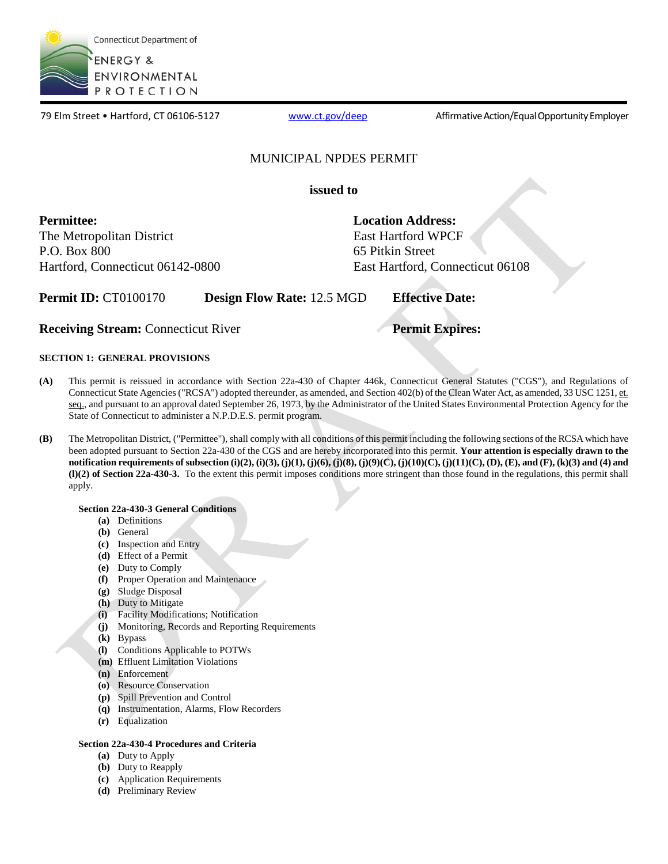

79 Elm Street • Hartford, CT 06106-5127 [www.ct.gov/deep](http://www.ct.gov/deep) Affirmative Action/Equal Opportunity Employer

# MUNICIPAL NPDES PERMIT

**issued to** 

**Permittee:** 

The Metropolitan District P.O. Box 800 Hartford, Connecticut 06142-0800 **Location Address:**  East Hartford WPCF 65 Pitkin Street East Hartford, Connecticut 06108

**Permit ID: CT0100170 Design Flow Rate: 12.5 MGD <b>Effective Date:** 

**Receiving Stream:** Connecticut River **Permit Expires: Permit Expires:** 

# **SECTION 1: GENERAL PROVISIONS**

- **(A)** This permit is reissued in accordance with Section 22a-430 of Chapter 446k, Connecticut General Statutes ("CGS"), and Regulations of Connecticut State Agencies ("RCSA") adopted thereunder, as amended, and Section 402(b) of the Clean Water Act, as amended, 33 USC 1251, et. seq., and pursuant to an approval dated September 26, 1973, by the Administrator of the United States Environmental Protection Agency for the State of Connecticut to administer a N.P.D.E.S. permit program.
- **(B)** The Metropolitan District, ("Permittee"), shall comply with all conditions of this permit including the following sections of the RCSA which have been adopted pursuant to Section 22a-430 of the CGS and are hereby incorporated into this permit. **Your attention is especially drawn to the notification requirements of subsection (i)(2), (i)(3), (j)(1), (j)(6), (j)(8), (j)(9)(C), (j)(10)(C), (j)(11)(C), (D), (E), and (F), (k)(3) and (4) and (l)(2) of Section 22a-430-3.** To the extent this permit imposes conditions more stringent than those found in the regulations, this permit shall apply.

# **Section 22a-430-3 General Conditions**

- **(a)** Definitions
- **(b)** General
- **(c)** Inspection and Entry
- **(d)** Effect of a Permit
- **(e)** Duty to Comply
- **(f)** Proper Operation and Maintenance
- **(g)** Sludge Disposal
- **(h)** Duty to Mitigate
- **(i)** Facility Modifications; Notification
- **(j)** Monitoring, Records and Reporting Requirements
- **(k)** Bypass
- **(l)** Conditions Applicable to POTWs
- **(m)** Effluent Limitation Violations
- **(n)** Enforcement
- **(o)** Resource Conservation
- **(p)** Spill Prevention and Control
- **(q)** Instrumentation, Alarms, Flow Recorders
- **(r)** Equalization

# **Section 22a-430-4 Procedures and Criteria**

- **(a)** Duty to Apply
- **(b)** Duty to Reapply
- **(c)** Application Requirements
- **(d)** Preliminary Review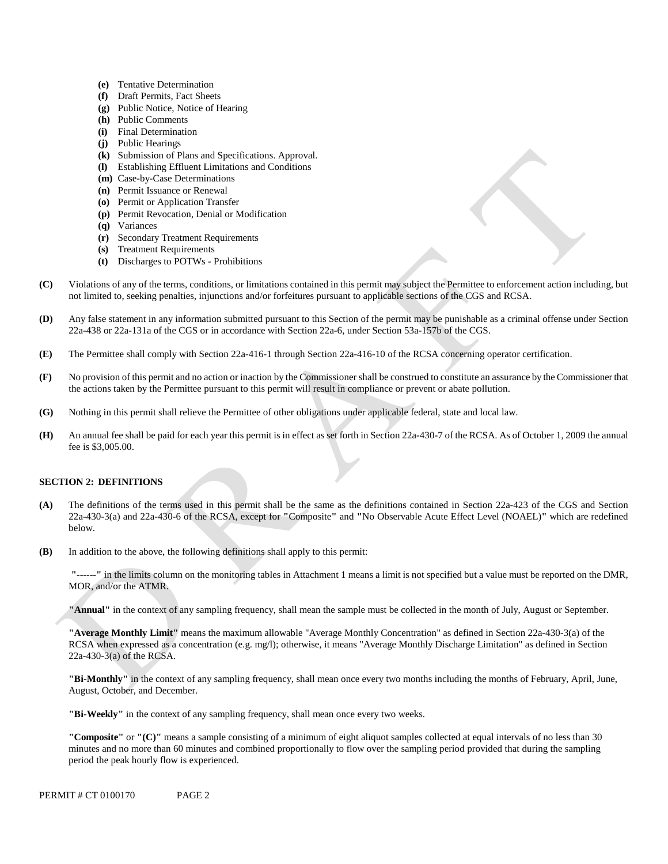- **(e)** Tentative Determination
- **(f)** Draft Permits, Fact Sheets
- **(g)** Public Notice, Notice of Hearing
- **(h)** Public Comments
- **(i)** Final Determination
- **(j)** Public Hearings
- **(k)** Submission of Plans and Specifications. Approval.
- **(l)** Establishing Effluent Limitations and Conditions
- **(m)** Case-by-Case Determinations
- **(n)** Permit Issuance or Renewal
- **(o)** Permit or Application Transfer
- **(p)** Permit Revocation, Denial or Modification
- **(q)** Variances
- **(r)** Secondary Treatment Requirements
- **(s)** Treatment Requirements
- **(t)** Discharges to POTWs Prohibitions
- **(C)** Violations of any of the terms, conditions, or limitations contained in this permit may subject the Permittee to enforcement action including, but not limited to, seeking penalties, injunctions and/or forfeitures pursuant to applicable sections of the CGS and RCSA.
- 22a-438 or 22a-131a of the CGS or in accordance with Section 22a-6, under Section 53a-157b of the CGS. **(D)** Any false statement in any information submitted pursuant to this Section of the permit may be punishable as a criminal offense under Section
- The Permittee shall comply with Section 22a-416-1 through Section 22a-416-10 of the RCSA concerning operator certification. **(E)**
- No provision of this permit and no action or inaction by the Commissioner shall be construed to constitute an assurance by the Commissioner that the actions taken by the Permittee pursuant to this permit will result in compliance or prevent or abate pollution. **(F)**
- Nothing in this permit shall relieve the Permittee of other obligations under applicable federal, state and local law. **(G)**
- An annual fee shall be paid for each year this permit is in effect as set forth in Section 22a-430-7 of the RCSA. As of October 1, 2009 the annual **(H)**  fee is \$3,005.00.

# **SECTION 2: DEFINITIONS**

- **(A)** The definitions of the terms used in this permit shall be the same as the definitions contained in Section 22a-423 of the CGS and Section 22a-430-3(a) and 22a-430-6 of the RCSA, except for **"**Composite**"** and **"**No Observable Acute Effect Level (NOAEL)**"** which are redefined below.
- **(B)** In addition to the above, the following definitions shall apply to this permit:

**"------"** in the limits column on the monitoring tables in Attachment 1 means a limit is not specified but a value must be reported on the DMR, MOR, and/or the ATMR.

**"Annual"** in the context of any sampling frequency, shall mean the sample must be collected in the month of July, August or September.

**"Average Monthly Limit"** means the maximum allowable "Average Monthly Concentration" as defined in Section 22a-430-3(a) of the RCSA when expressed as a concentration (e.g. mg/l); otherwise, it means "Average Monthly Discharge Limitation" as defined in Section 22a-430-3(a) of the RCSA.

**"Bi-Monthly"** in the context of any sampling frequency, shall mean once every two months including the months of February, April, June, August, October, and December.

**"Bi-Weekly"** in the context of any sampling frequency, shall mean once every two weeks.

**"Composite"** or **"(C)"** means a sample consisting of a minimum of eight aliquot samples collected at equal intervals of no less than 30 minutes and no more than 60 minutes and combined proportionally to flow over the sampling period provided that during the sampling period the peak hourly flow is experienced.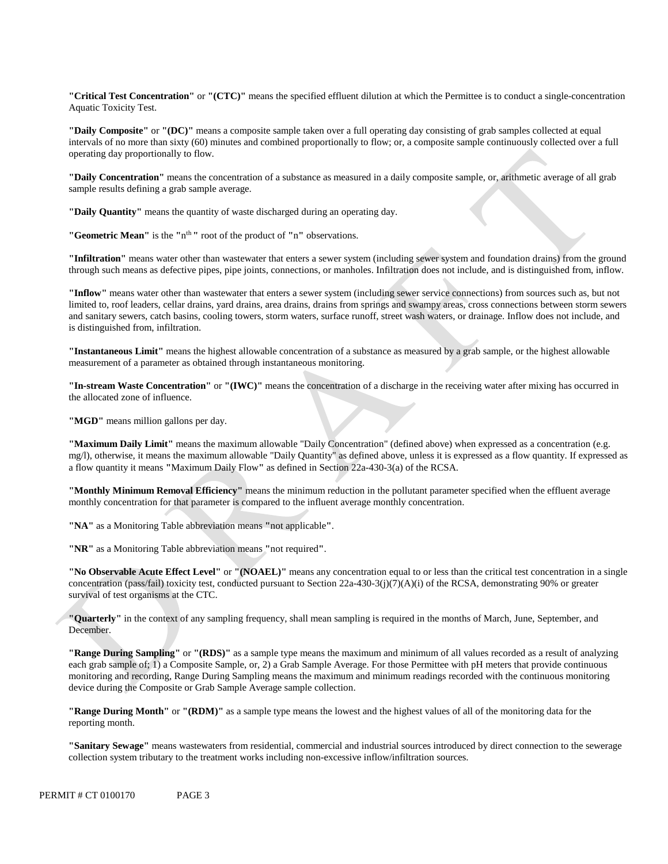**"Critical Test Concentration"** or **"(CTC)"** means the specified effluent dilution at which the Permittee is to conduct a single-concentration Aquatic Toxicity Test.

**"Daily Composite"** or **"(DC)"** means a composite sample taken over a full operating day consisting of grab samples collected at equal intervals of no more than sixty (60) minutes and combined proportionally to flow; or, a composite sample continuously collected over a full operating day proportionally to flow.

**"Daily Concentration"** means the concentration of a substance as measured in a daily composite sample, or, arithmetic average of all grab sample results defining a grab sample average.

**"Daily Quantity"** means the quantity of waste discharged during an operating day.

**"Geometric Mean"** is the **"**nth **"** root of the product of **"**n**"** observations.

**"Infiltration"** means water other than wastewater that enters a sewer system (including sewer system and foundation drains) from the ground through such means as defective pipes, pipe joints, connections, or manholes. Infiltration does not include, and is distinguished from, inflow.

**"Inflow"** means water other than wastewater that enters a sewer system (including sewer service connections) from sources such as, but not limited to, roof leaders, cellar drains, yard drains, area drains, drains from springs and swampy areas, cross connections between storm sewers and sanitary sewers, catch basins, cooling towers, storm waters, surface runoff, street wash waters, or drainage. Inflow does not include, and is distinguished from, infiltration.

**"Instantaneous Limit"** means the highest allowable concentration of a substance as measured by a grab sample, or the highest allowable measurement of a parameter as obtained through instantaneous monitoring.

**"In-stream Waste Concentration"** or **"(IWC)"** means the concentration of a discharge in the receiving water after mixing has occurred in the allocated zone of influence.

**"MGD"** means million gallons per day.

**"Maximum Daily Limit"** means the maximum allowable "Daily Concentration" (defined above) when expressed as a concentration (e.g. mg/l), otherwise, it means the maximum allowable "Daily Quantity" as defined above, unless it is expressed as a flow quantity. If expressed as a flow quantity it means **"**Maximum Daily Flow**"** as defined in Section 22a-430-3(a) of the RCSA.

**"Monthly Minimum Removal Efficiency"** means the minimum reduction in the pollutant parameter specified when the effluent average monthly concentration for that parameter is compared to the influent average monthly concentration.

**"NA"** as a Monitoring Table abbreviation means **"**not applicable**"**.

**"NR"** as a Monitoring Table abbreviation means **"**not required**"**.

**"No Observable Acute Effect Level"** or **"(NOAEL)"** means any concentration equal to or less than the critical test concentration in a single concentration (pass/fail) toxicity test, conducted pursuant to Section 22a-430-3(j)(7)(A)(i) of the RCSA, demonstrating 90% or greater survival of test organisms at the CTC.

**"Quarterly"** in the context of any sampling frequency, shall mean sampling is required in the months of March, June, September, and December.

**"Range During Sampling"** or **"(RDS)"** as a sample type means the maximum and minimum of all values recorded as a result of analyzing each grab sample of; 1) a Composite Sample, or, 2) a Grab Sample Average. For those Permittee with pH meters that provide continuous monitoring and recording, Range During Sampling means the maximum and minimum readings recorded with the continuous monitoring device during the Composite or Grab Sample Average sample collection.

**"Range During Month"** or **"(RDM)"** as a sample type means the lowest and the highest values of all of the monitoring data for the reporting month.

**"Sanitary Sewage"** means wastewaters from residential, commercial and industrial sources introduced by direct connection to the sewerage collection system tributary to the treatment works including non-excessive inflow/infiltration sources.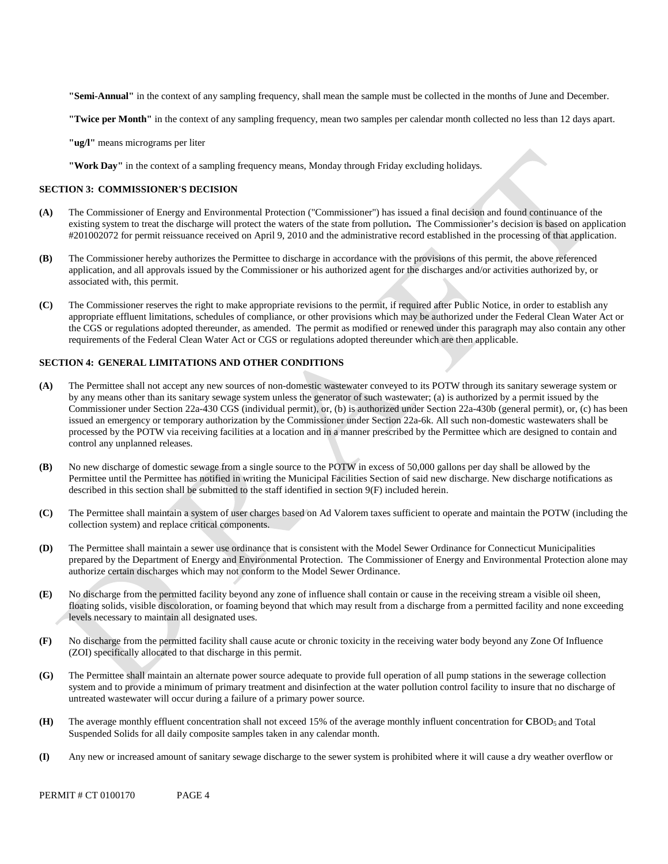**"Semi-Annual"** in the context of any sampling frequency, shall mean the sample must be collected in the months of June and December.

**"Twice per Month"** in the context of any sampling frequency, mean two samples per calendar month collected no less than 12 days apart.

**"ug/l"** means micrograms per liter

**"Work Day"** in the context of a sampling frequency means, Monday through Friday excluding holidays.

#### **SECTION 3: COMMISSIONER'S DECISION**

- **(A)** The Commissioner of Energy and Environmental Protection ("Commissioner") has issued a final decision and found continuance of the existing system to treat the discharge will protect the waters of the state from pollution**.** The Commissioner's decision is based on application #201002072 for permit reissuance received on April 9, 2010 and the administrative record established in the processing of that application.
- **(B)** The Commissioner hereby authorizes the Permittee to discharge in accordance with the provisions of this permit, the above referenced application, and all approvals issued by the Commissioner or his authorized agent for the discharges and/or activities authorized by, or associated with, this permit.
- requirements of the Federal Clean Water Act or CGS or regulations adopted thereunder which are then applicable. **(C)** The Commissioner reserves the right to make appropriate revisions to the permit, if required after Public Notice, in order to establish any appropriate effluent limitations, schedules of compliance, or other provisions which may be authorized under the Federal Clean Water Act or the CGS or regulations adopted thereunder, as amended. The permit as modified or renewed under this paragraph may also contain any other

#### **SECTION 4: GENERAL LIMITATIONS AND OTHER CONDITIONS**

- **(A)** The Permittee shall not accept any new sources of non-domestic wastewater conveyed to its POTW through its sanitary sewerage system or by any means other than its sanitary sewage system unless the generator of such wastewater; (a) is authorized by a permit issued by the Commissioner under Section 22a-430 CGS (individual permit), or, (b) is authorized under Section 22a-430b (general permit), or, (c) has been issued an emergency or temporary authorization by the Commissioner under Section 22a-6k. All such non-domestic wastewaters shall be processed by the POTW via receiving facilities at a location and in a manner prescribed by the Permittee which are designed to contain and control any unplanned releases.
- **(B)** No new discharge of domestic sewage from a single source to the POTW in excess of 50,000 gallons per day shall be allowed by the Permittee until the Permittee has notified in writing the Municipal Facilities Section of said new discharge. New discharge notifications as described in this section shall be submitted to the staff identified in section 9(F) included herein.
- **(C)** The Permittee shall maintain a system of user charges based on Ad Valorem taxes sufficient to operate and maintain the POTW (including the collection system) and replace critical components.
- **(D)** The Permittee shall maintain a sewer use ordinance that is consistent with the Model Sewer Ordinance for Connecticut Municipalities prepared by the Department of Energy and Environmental Protection. The Commissioner of Energy and Environmental Protection alone may authorize certain discharges which may not conform to the Model Sewer Ordinance.
- **(E)** No discharge from the permitted facility beyond any zone of influence shall contain or cause in the receiving stream a visible oil sheen, floating solids, visible discoloration, or foaming beyond that which may result from a discharge from a permitted facility and none exceeding levels necessary to maintain all designated uses.
- **(F)** No discharge from the permitted facility shall cause acute or chronic toxicity in the receiving water body beyond any Zone Of Influence (ZOI) specifically allocated to that discharge in this permit.
- **(G)** The Permittee shall maintain an alternate power source adequate to provide full operation of all pump stations in the sewerage collection system and to provide a minimum of primary treatment and disinfection at the water pollution control facility to insure that no discharge of untreated wastewater will occur during a failure of a primary power source.
- **(H)** The average monthly effluent concentration shall not exceed 15% of the average monthly influent concentration for **C**BOD5 and Total Suspended Solids for all daily composite samples taken in any calendar month.
- **(I)** Any new or increased amount of sanitary sewage discharge to the sewer system is prohibited where it will cause a dry weather overflow or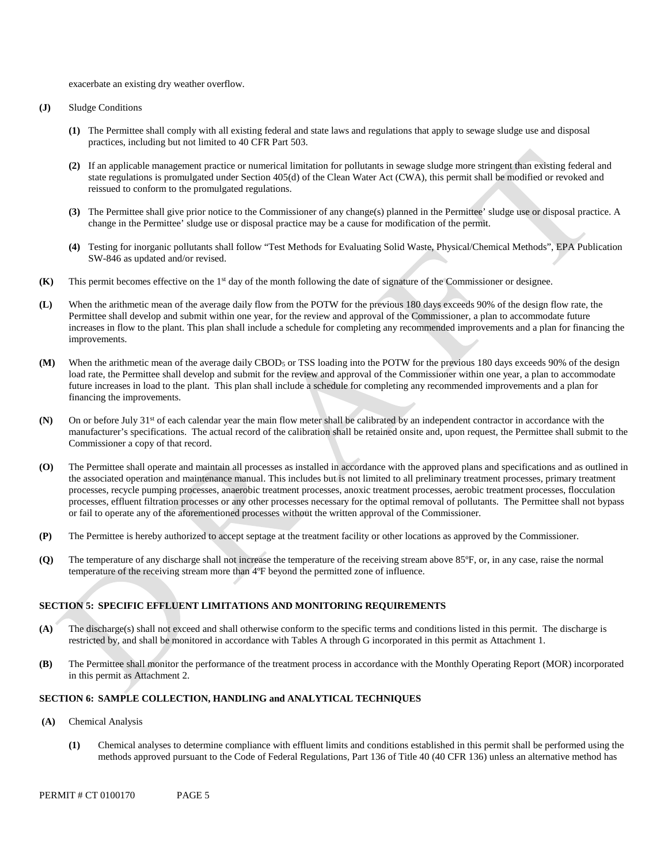exacerbate an existing dry weather overflow.

- **(J)** Sludge Conditions
	- **(1)** The Permittee shall comply with all existing federal and state laws and regulations that apply to sewage sludge use and disposal practices, including but not limited to 40 CFR Part 503.
	- **(2)** If an applicable management practice or numerical limitation for pollutants in sewage sludge more stringent than existing federal and state regulations is promulgated under Section 405(d) of the Clean Water Act (CWA), this permit shall be modified or revoked and reissued to conform to the promulgated regulations.
	- **(3)** The Permittee shall give prior notice to the Commissioner of any change(s) planned in the Permittee' sludge use or disposal practice. A change in the Permittee' sludge use or disposal practice may be a cause for modification of the permit.
	- **(4)** Testing for inorganic pollutants shall follow "Test Methods for Evaluating Solid Waste, Physical/Chemical Methods", EPA Publication SW-846 as updated and/or revised.
- **(K)** This permit becomes effective on the 1<sup>st</sup> day of the month following the date of signature of the Commissioner or designee.
- **(L)** When the arithmetic mean of the average daily flow from the POTW for the previous 180 days exceeds 90% of the design flow rate, the Permittee shall develop and submit within one year, for the review and approval of the Commissioner, a plan to accommodate future increases in flow to the plant. This plan shall include a schedule for completing any recommended improvements and a plan for financing the improvements.
- **(M)** When the arithmetic mean of the average daily CBOD5 or TSS loading into the POTW for the previous 180 days exceeds 90% of the design load rate, the Permittee shall develop and submit for the review and approval of the Commissioner within one year, a plan to accommodate future increases in load to the plant. This plan shall include a schedule for completing any recommended improvements and a plan for financing the improvements.
- **(N)** On or before July 31st of each calendar year the main flow meter shall be calibrated by an independent contractor in accordance with the manufacturer's specifications. The actual record of the calibration shall be retained onsite and, upon request, the Permittee shall submit to the Commissioner a copy of that record.
- **(O)** The Permittee shall operate and maintain all processes as installed in accordance with the approved plans and specifications and as outlined in the associated operation and maintenance manual. This includes but is not limited to all preliminary treatment processes, primary treatment processes, recycle pumping processes, anaerobic treatment processes, anoxic treatment processes, aerobic treatment processes, flocculation processes, effluent filtration processes or any other processes necessary for the optimal removal of pollutants. The Permittee shall not bypass or fail to operate any of the aforementioned processes without the written approval of the Commissioner.
- **(P)** The Permittee is hereby authorized to accept septage at the treatment facility or other locations as approved by the Commissioner.
- **(Q)** The temperature of any discharge shall not increase the temperature of the receiving stream above 85ºF, or, in any case, raise the normal temperature of the receiving stream more than 4ºF beyond the permitted zone of influence.

# **SECTION 5: SPECIFIC EFFLUENT LIMITATIONS AND MONITORING REQUIREMENTS**

- **(A)** The discharge(s) shall not exceed and shall otherwise conform to the specific terms and conditions listed in this permit. The discharge is restricted by, and shall be monitored in accordance with Tables A through G incorporated in this permit as Attachment 1.
- **(B)** The Permittee shall monitor the performance of the treatment process in accordance with the Monthly Operating Report (MOR) incorporated in this permit as Attachment 2.

## **SECTION 6: SAMPLE COLLECTION, HANDLING and ANALYTICAL TECHNIQUES**

- (A) **Chemical Analysis** 
	- **(1)** Chemical analyses to determine compliance with effluent limits and conditions established in this permit shall be performed using the methods approved pursuant to the Code of Federal Regulations, Part 136 of Title 40 (40 CFR 136) unless an alternative method has

PERMIT # CT 0100170 PAGE 5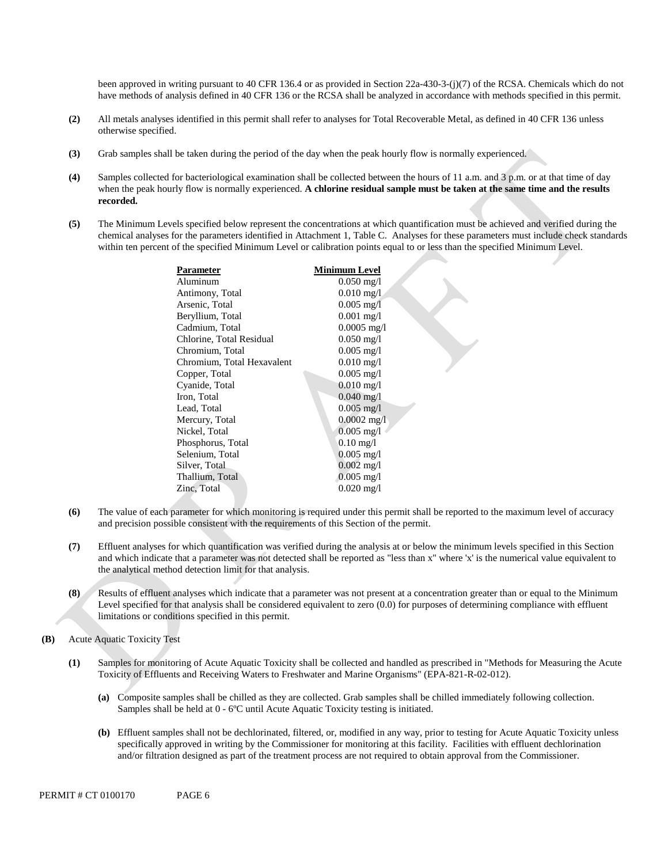been approved in writing pursuant to 40 CFR 136.4 or as provided in Section 22a-430-3-(j)(7) of the RCSA. Chemicals which do not have methods of analysis defined in 40 CFR 136 or the RCSA shall be analyzed in accordance with methods specified in this permit.

- **(2)** All metals analyses identified in this permit shall refer to analyses for Total Recoverable Metal, as defined in 40 CFR 136 unless otherwise specified.
- **(3)** Grab samples shall be taken during the period of the day when the peak hourly flow is normally experienced.
- **(4)** Samples collected for bacteriological examination shall be collected between the hours of 11 a.m. and 3 p.m. or at that time of day when the peak hourly flow is normally experienced. **A chlorine residual sample must be taken at the same time and the results recorded.**
- **(5)** The Minimum Levels specified below represent the concentrations at which quantification must be achieved and verified during the chemical analyses for the parameters identified in Attachment 1, Table C. Analyses for these parameters must include check standards within ten percent of the specified Minimum Level or calibration points equal to or less than the specified Minimum Level.

| $0.050 \,\mathrm{mg}/l$<br>$0.010 \,\mathrm{mg}/l$ |
|----------------------------------------------------|
|                                                    |
|                                                    |
| $0.005$ mg/I                                       |
| $0.001$ mg/l                                       |
| $0.0005$ mg/l                                      |
| $0.050 \,\mathrm{mg}/l$                            |
| $0.005$ mg/l                                       |
| $0.010 \,\mathrm{mg}/l$                            |
| $0.005$ mg/l                                       |
| $0.010 \,\mathrm{mg}/l$                            |
| $0.040 \,\mathrm{mg}/l$                            |
| $0.005 \,\mathrm{mg}/l$                            |
| $0.0002$ mg/l                                      |
| $0.005$ mg/l                                       |
| $0.10$ mg/l                                        |
| $0.005$ mg/l                                       |
| $0.002$ mg/l                                       |
| $0.005$ mg/l                                       |
| $0.020$ mg/l                                       |
|                                                    |

- **(6)** The value of each parameter for which monitoring is required under this permit shall be reported to the maximum level of accuracy and precision possible consistent with the requirements of this Section of the permit.
- **(7)** Effluent analyses for which quantification was verified during the analysis at or below the minimum levels specified in this Section and which indicate that a parameter was not detected shall be reported as "less than x" where 'x' is the numerical value equivalent to the analytical method detection limit for that analysis.
- **(8)** Results of effluent analyses which indicate that a parameter was not present at a concentration greater than or equal to the Minimum Level specified for that analysis shall be considered equivalent to zero (0.0) for purposes of determining compliance with effluent limitations or conditions specified in this permit.
- **(B)** Acute Aquatic Toxicity Test
	- **(1)** Samples for monitoring of Acute Aquatic Toxicity shall be collected and handled as prescribed in "Methods for Measuring the Acute Toxicity of Effluents and Receiving Waters to Freshwater and Marine Organisms" (EPA-821-R-02-012).
		- **(a)** Composite samples shall be chilled as they are collected. Grab samples shall be chilled immediately following collection. Samples shall be held at 0 - 6ºC until Acute Aquatic Toxicity testing is initiated.
		- **(b)** Effluent samples shall not be dechlorinated, filtered, or, modified in any way, prior to testing for Acute Aquatic Toxicity unless specifically approved in writing by the Commissioner for monitoring at this facility. Facilities with effluent dechlorination and/or filtration designed as part of the treatment process are not required to obtain approval from the Commissioner.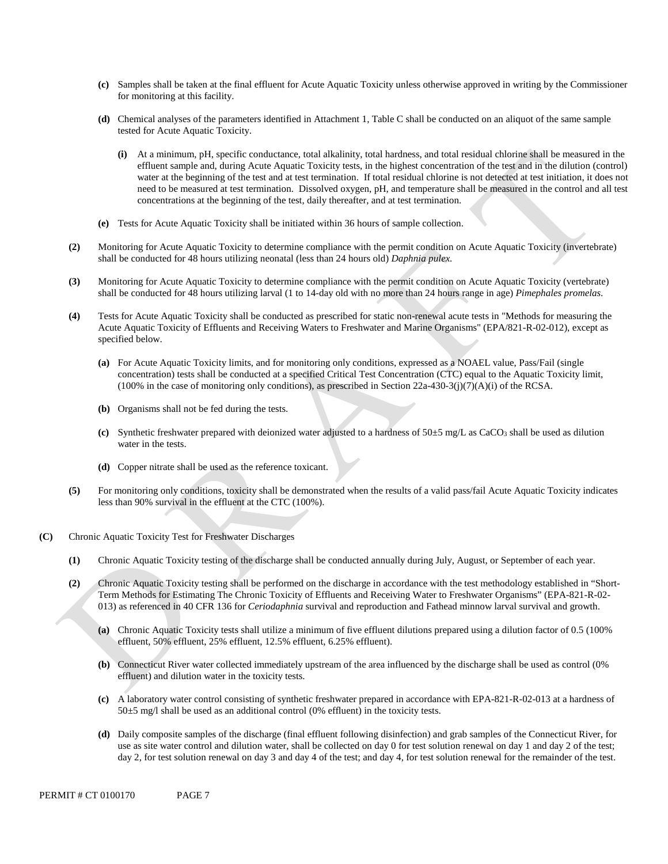- **(c)** Samples shall be taken at the final effluent for Acute Aquatic Toxicity unless otherwise approved in writing by the Commissioner for monitoring at this facility.
- **(d)** Chemical analyses of the parameters identified in Attachment 1, Table C shall be conducted on an aliquot of the same sample tested for Acute Aquatic Toxicity.
	- **(i)** At a minimum, pH, specific conductance, total alkalinity, total hardness, and total residual chlorine shall be measured in the effluent sample and, during Acute Aquatic Toxicity tests, in the highest concentration of the test and in the dilution (control) water at the beginning of the test and at test termination. If total residual chlorine is not detected at test initiation, it does not need to be measured at test termination. Dissolved oxygen, pH, and temperature shall be measured in the control and all test concentrations at the beginning of the test, daily thereafter, and at test termination.
- **(e)** Tests for Acute Aquatic Toxicity shall be initiated within 36 hours of sample collection.
- **(2)** Monitoring for Acute Aquatic Toxicity to determine compliance with the permit condition on Acute Aquatic Toxicity (invertebrate) shall be conducted for 48 hours utilizing neonatal (less than 24 hours old) *Daphnia pulex*.
- **(3)** Monitoring for Acute Aquatic Toxicity to determine compliance with the permit condition on Acute Aquatic Toxicity (vertebrate) shall be conducted for 48 hours utilizing larval (1 to 14-day old with no more than 24 hours range in age) *Pimephales promelas*.
- **(4)** Tests for Acute Aquatic Toxicity shall be conducted as prescribed for static non-renewal acute tests in "Methods for measuring the Acute Aquatic Toxicity of Effluents and Receiving Waters to Freshwater and Marine Organisms" (EPA/821-R-02-012), except as specified below.
	- **(a)** For Acute Aquatic Toxicity limits, and for monitoring only conditions, expressed as a NOAEL value, Pass/Fail (single concentration) tests shall be conducted at a specified Critical Test Concentration (CTC) equal to the Aquatic Toxicity limit,  $(100\%$  in the case of monitoring only conditions), as prescribed in Section 22a-430-3(j)(7)(A)(i) of the RCSA.
	- **(b)** Organisms shall not be fed during the tests.
	- (c) Synthetic freshwater prepared with deionized water adjusted to a hardness of  $50±5$  mg/L as CaCO<sub>3</sub> shall be used as dilution water in the tests.
	- **(d)** Copper nitrate shall be used as the reference toxicant.
- **(5)** For monitoring only conditions, toxicity shall be demonstrated when the results of a valid pass/fail Acute Aquatic Toxicity indicates less than 90% survival in the effluent at the CTC (100%).
- **(C)** Chronic Aquatic Toxicity Test for Freshwater Discharges
	- **(1)** Chronic Aquatic Toxicity testing of the discharge shall be conducted annually during July, August, or September of each year.
	- **(2)** Chronic Aquatic Toxicity testing shall be performed on the discharge in accordance with the test methodology established in "Short-Term Methods for Estimating The Chronic Toxicity of Effluents and Receiving Water to Freshwater Organisms" (EPA-821-R-02 013) as referenced in 40 CFR 136 for *Ceriodaphnia* survival and reproduction and Fathead minnow larval survival and growth.
		- **(a)** Chronic Aquatic Toxicity tests shall utilize a minimum of five effluent dilutions prepared using a dilution factor of 0.5 (100% effluent, 50% effluent, 25% effluent, 12.5% effluent, 6.25% effluent).
		- **(b)** Connecticut River water collected immediately upstream of the area influenced by the discharge shall be used as control (0% effluent) and dilution water in the toxicity tests.
		- **(c)** A laboratory water control consisting of synthetic freshwater prepared in accordance with EPA-821-R-02-013 at a hardness of  $50\pm5$  mg/l shall be used as an additional control (0% effluent) in the toxicity tests.
- day 2, for test solution renewal on day 3 and day 4 of the test; and day 4, for test solution renewal for the remainder of the test.<br>PERMIT # CT 0100170 PAGE 7 **(d)** Daily composite samples of the discharge (final effluent following disinfection) and grab samples of the Connecticut River, for use as site water control and dilution water, shall be collected on day 0 for test solution renewal on day 1 and day 2 of the test;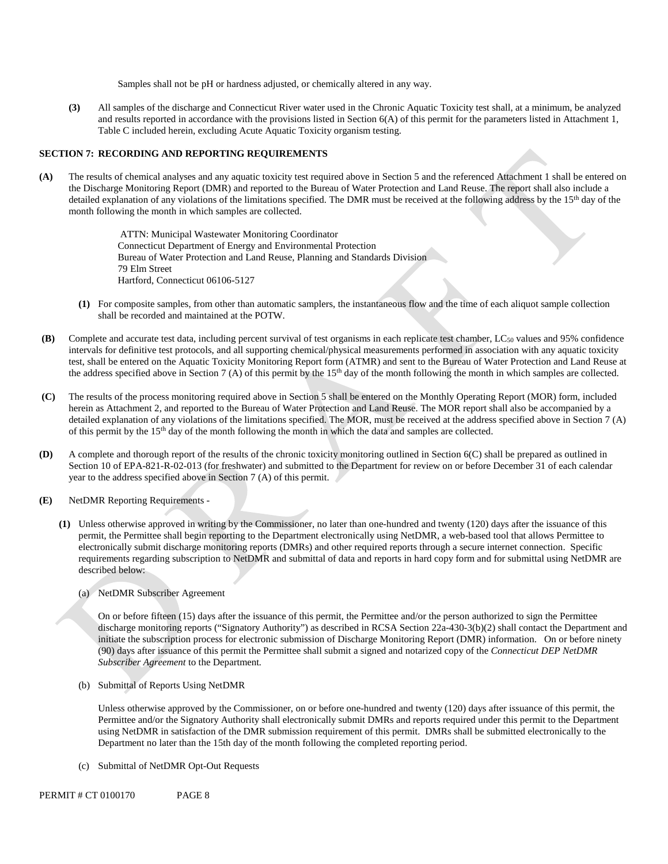Samples shall not be pH or hardness adjusted, or chemically altered in any way.

**(3)** All samples of the discharge and Connecticut River water used in the Chronic Aquatic Toxicity test shall, at a minimum, be analyzed and results reported in accordance with the provisions listed in Section  $6(A)$  of this permit for the parameters listed in Attachment 1, Table C included herein, excluding Acute Aquatic Toxicity organism testing.

#### **SECTION 7: RECORDING AND REPORTING REQUIREMENTS**

**(A)** The results of chemical analyses and any aquatic toxicity test required above in Section 5 and the referenced Attachment 1 shall be entered on the Discharge Monitoring Report (DMR) and reported to the Bureau of Water Protection and Land Reuse. The report shall also include a detailed explanation of any violations of the limitations specified. The DMR must be received at the following address by the 15<sup>th</sup> day of the month following the month in which samples are collected.

> ATTN: Municipal Wastewater Monitoring Coordinator Connecticut Department of Energy and Environmental Protection Bureau of Water Protection and Land Reuse, Planning and Standards Division 79 Elm Street Hartford, Connecticut 06106-5127

- **(1)** For composite samples, from other than automatic samplers, the instantaneous flow and the time of each aliquot sample collection shall be recorded and maintained at the POTW.
- **(B)** Complete and accurate test data, including percent survival of test organisms in each replicate test chamber, LC50 values and 95% confidence intervals for definitive test protocols, and all supporting chemical/physical measurements performed in association with any aquatic toxicity test, shall be entered on the Aquatic Toxicity Monitoring Report form (ATMR) and sent to the Bureau of Water Protection and Land Reuse at the address specified above in Section 7 (A) of this permit by the 15th day of the month following the month in which samples are collected.
- **(C)** The results of the process monitoring required above in Section 5 shall be entered on the Monthly Operating Report (MOR) form, included herein as Attachment 2, and reported to the Bureau of Water Protection and Land Reuse. The MOR report shall also be accompanied by a detailed explanation of any violations of the limitations specified. The MOR, must be received at the address specified above in Section 7 (A) of this permit by the 15th day of the month following the month in which the data and samples are collected.
- **(D)** A complete and thorough report of the results of the chronic toxicity monitoring outlined in Section 6(C) shall be prepared as outlined in Section 10 of EPA-821-R-02-013 (for freshwater) and submitted to the Department for review on or before December 31 of each calendar year to the address specified above in Section 7 (A) of this permit.
- **(E)** NetDMR Reporting Requirements
	- **(1)** Unless otherwise approved in writing by the Commissioner, no later than one-hundred and twenty (120) days after the issuance of this permit, the Permittee shall begin reporting to the Department electronically using NetDMR, a web-based tool that allows Permittee to electronically submit discharge monitoring reports (DMRs) and other required reports through a secure internet connection. Specific requirements regarding subscription to NetDMR and submittal of data and reports in hard copy form and for submittal using NetDMR are described below:
		- (a) NetDMR Subscriber Agreement

On or before fifteen (15) days after the issuance of this permit, the Permittee and/or the person authorized to sign the Permittee discharge monitoring reports ("Signatory Authority") as described in RCSA Section 22a-430-3(b)(2) shall contact the Department and initiate the subscription process for electronic submission of Discharge Monitoring Report (DMR) information. On or before ninety (90) days after issuance of this permit the Permittee shall submit a signed and notarized copy of the *Connecticut DEP NetDMR Subscriber Agreement* to the Department*.* 

(b) Submittal of Reports Using NetDMR

 Department no later than the 15th day of the month following the completed reporting period. (c) Submittal of NetDMR Opt-Out Requests Unless otherwise approved by the Commissioner, on or before one-hundred and twenty (120) days after issuance of this permit, the Permittee and/or the Signatory Authority shall electronically submit DMRs and reports required under this permit to the Department using NetDMR in satisfaction of the DMR submission requirement of this permit. DMRs shall be submitted electronically to the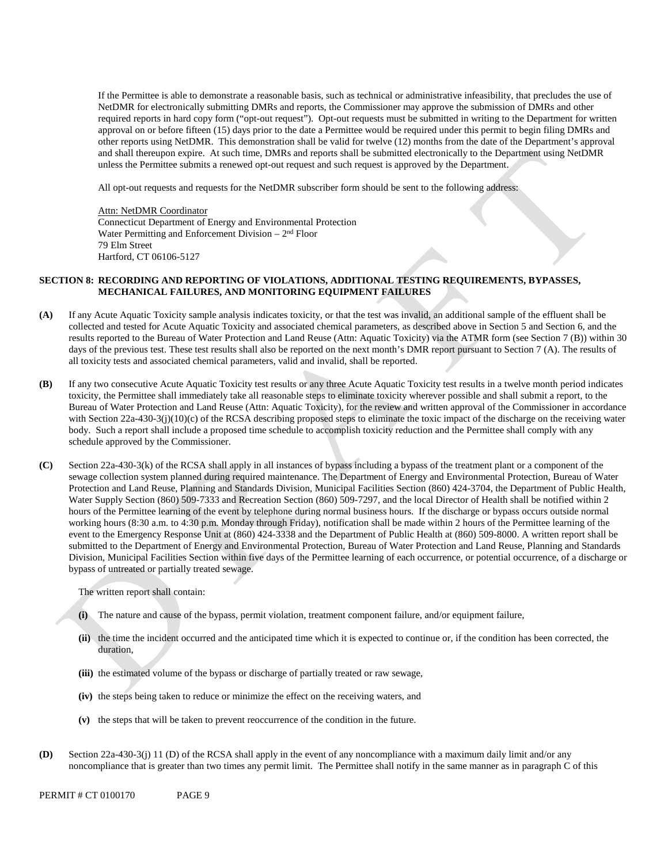required reports in hard copy form ("opt-out request"). Opt-out requests must be submitted in writing to the Department for written other reports using NetDMR. This demonstration shall be valid for twelve (12) months from the date of the Department's approval and shall thereupon expire. At such time, DMRs and reports shall be submitted electronically to the Department using NetDMR If the Permittee is able to demonstrate a reasonable basis, such as technical or administrative infeasibility, that precludes the use of NetDMR for electronically submitting DMRs and reports, the Commissioner may approve the submission of DMRs and other approval on or before fifteen (15) days prior to the date a Permittee would be required under this permit to begin filing DMRs and unless the Permittee submits a renewed opt-out request and such request is approved by the Department.

All opt-out requests and requests for the NetDMR subscriber form should be sent to the following address:

Water Permitting and Enforcement Division - 2<sup>nd</sup> Floor Attn: NetDMR Coordinator Connecticut Department of Energy and Environmental Protection 79 Elm Street Hartford, CT 06106-5127

# **SECTION 8: RECORDING AND REPORTING OF VIOLATIONS, ADDITIONAL TESTING REQUIREMENTS, BYPASSES, MECHANICAL FAILURES, AND MONITORING EQUIPMENT FAILURES**

- **(A)** If any Acute Aquatic Toxicity sample analysis indicates toxicity, or that the test was invalid, an additional sample of the effluent shall be collected and tested for Acute Aquatic Toxicity and associated chemical parameters, as described above in Section 5 and Section 6, and the results reported to the Bureau of Water Protection and Land Reuse (Attn: Aquatic Toxicity) via the ATMR form (see Section 7 (B)) within 30 days of the previous test. These test results shall also be reported on the next month's DMR report pursuant to Section 7 (A). The results of all toxicity tests and associated chemical parameters, valid and invalid, shall be reported.
- **(B)** If any two consecutive Acute Aquatic Toxicity test results or any three Acute Aquatic Toxicity test results in a twelve month period indicates toxicity, the Permittee shall immediately take all reasonable steps to eliminate toxicity wherever possible and shall submit a report, to the Bureau of Water Protection and Land Reuse (Attn: Aquatic Toxicity), for the review and written approval of the Commissioner in accordance with Section 22a-430-3(j)(10)(c) of the RCSA describing proposed steps to eliminate the toxic impact of the discharge on the receiving water body. Such a report shall include a proposed time schedule to accomplish toxicity reduction and the Permittee shall comply with any schedule approved by the Commissioner.
- **(C)** Section 22a-430-3(k) of the RCSA shall apply in all instances of bypass including a bypass of the treatment plant or a component of the sewage collection system planned during required maintenance. The Department of Energy and Environmental Protection, Bureau of Water Protection and Land Reuse, Planning and Standards Division, Municipal Facilities Section (860) 424-3704, the Department of Public Health, Water Supply Section (860) 509-7333 and Recreation Section (860) 509-7297, and the local Director of Health shall be notified within 2 hours of the Permittee learning of the event by telephone during normal business hours. If the discharge or bypass occurs outside normal working hours (8:30 a.m. to 4:30 p.m. Monday through Friday), notification shall be made within 2 hours of the Permittee learning of the event to the Emergency Response Unit at (860) 424-3338 and the Department of Public Health at (860) 509-8000. A written report shall be submitted to the Department of Energy and Environmental Protection, Bureau of Water Protection and Land Reuse, Planning and Standards Division, Municipal Facilities Section within five days of the Permittee learning of each occurrence, or potential occurrence, of a discharge or bypass of untreated or partially treated sewage.

The written report shall contain:

- **(i)** The nature and cause of the bypass, permit violation, treatment component failure, and/or equipment failure,
- **(ii)** the time the incident occurred and the anticipated time which it is expected to continue or, if the condition has been corrected, the duration,
- **(iii)** the estimated volume of the bypass or discharge of partially treated or raw sewage,
- **(iv)** the steps being taken to reduce or minimize the effect on the receiving waters, and
- **(v)** the steps that will be taken to prevent reoccurrence of the condition in the future.
- **(D)** Section 22a-430-3(j) 11 (D) of the RCSA shall apply in the event of any noncompliance with a maximum daily limit and/or any noncompliance that is greater than two times any permit limit. The Permittee shall notify in the same manner as in paragraph C of this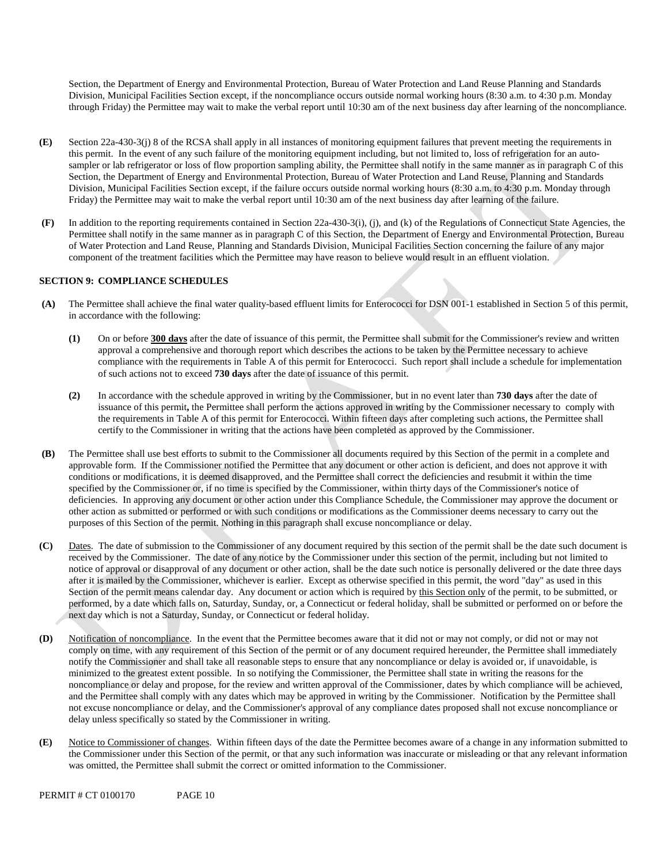Section, the Department of Energy and Environmental Protection, Bureau of Water Protection and Land Reuse Planning and Standards Division, Municipal Facilities Section except, if the noncompliance occurs outside normal working hours (8:30 a.m. to 4:30 p.m. Monday through Friday) the Permittee may wait to make the verbal report until 10:30 am of the next business day after learning of the noncompliance.

- **(E)** Section 22a-430-3(j) 8 of the RCSA shall apply in all instances of monitoring equipment failures that prevent meeting the requirements in this permit. In the event of any such failure of the monitoring equipment including, but not limited to, loss of refrigeration for an autosampler or lab refrigerator or loss of flow proportion sampling ability, the Permittee shall notify in the same manner as in paragraph C of this Section, the Department of Energy and Environmental Protection, Bureau of Water Protection and Land Reuse, Planning and Standards Division, Municipal Facilities Section except, if the failure occurs outside normal working hours (8:30 a.m. to 4:30 p.m. Monday through Friday) the Permittee may wait to make the verbal report until 10:30 am of the next business day after learning of the failure.
- **(F)** In addition to the reporting requirements contained in Section 22a-430-3(i), (j), and (k) of the Regulations of Connecticut State Agencies, the Permittee shall notify in the same manner as in paragraph C of this Section, the Department of Energy and Environmental Protection, Bureau of Water Protection and Land Reuse, Planning and Standards Division, Municipal Facilities Section concerning the failure of any major component of the treatment facilities which the Permittee may have reason to believe would result in an effluent violation.

# **SECTION 9: COMPLIANCE SCHEDULES**

- **(A)** The Permittee shall achieve the final water quality-based effluent limits for Enterococci for DSN 001-1 established in Section 5 of this permit, in accordance with the following:
	- **(1)** On or before **300 days** after the date of issuance of this permit, the Permittee shall submit for the Commissioner's review and written approval a comprehensive and thorough report which describes the actions to be taken by the Permittee necessary to achieve compliance with the requirements in Table A of this permit for Enterococci. Such report shall include a schedule for implementation of such actions not to exceed **730 days** after the date of issuance of this permit.
	- **(2)** In accordance with the schedule approved in writing by the Commissioner, but in no event later than **730 days** after the date of issuance of this permit**,** the Permittee shall perform the actions approved in writing by the Commissioner necessary to comply with the requirements in Table A of this permit for Enterococci. Within fifteen days after completing such actions, the Permittee shall certify to the Commissioner in writing that the actions have been completed as approved by the Commissioner.
- **(B)** The Permittee shall use best efforts to submit to the Commissioner all documents required by this Section of the permit in a complete and approvable form. If the Commissioner notified the Permittee that any document or other action is deficient, and does not approve it with conditions or modifications, it is deemed disapproved, and the Permittee shall correct the deficiencies and resubmit it within the time specified by the Commissioner or, if no time is specified by the Commissioner, within thirty days of the Commissioner's notice of deficiencies. In approving any document or other action under this Compliance Schedule, the Commissioner may approve the document or other action as submitted or performed or with such conditions or modifications as the Commissioner deems necessary to carry out the purposes of this Section of the permit. Nothing in this paragraph shall excuse noncompliance or delay.
- **(C)** Dates. The date of submission to the Commissioner of any document required by this section of the permit shall be the date such document is received by the Commissioner. The date of any notice by the Commissioner under this section of the permit, including but not limited to notice of approval or disapproval of any document or other action, shall be the date such notice is personally delivered or the date three days after it is mailed by the Commissioner, whichever is earlier. Except as otherwise specified in this permit, the word "day" as used in this Section of the permit means calendar day. Any document or action which is required by this Section only of the permit, to be submitted, or performed, by a date which falls on, Saturday, Sunday, or, a Connecticut or federal holiday, shall be submitted or performed on or before the next day which is not a Saturday, Sunday, or Connecticut or federal holiday.
- **(D)** Notification of noncompliance. In the event that the Permittee becomes aware that it did not or may not comply, or did not or may not comply on time, with any requirement of this Section of the permit or of any document required hereunder, the Permittee shall immediately notify the Commissioner and shall take all reasonable steps to ensure that any noncompliance or delay is avoided or, if unavoidable, is minimized to the greatest extent possible. In so notifying the Commissioner, the Permittee shall state in writing the reasons for the noncompliance or delay and propose, for the review and written approval of the Commissioner, dates by which compliance will be achieved, and the Permittee shall comply with any dates which may be approved in writing by the Commissioner. Notification by the Permittee shall not excuse noncompliance or delay, and the Commissioner's approval of any compliance dates proposed shall not excuse noncompliance or delay unless specifically so stated by the Commissioner in writing.
- **(E)** Notice to Commissioner of changes. Within fifteen days of the date the Permittee becomes aware of a change in any information submitted to the Commissioner under this Section of the permit, or that any such information was inaccurate or misleading or that any relevant information was omitted, the Permittee shall submit the correct or omitted information to the Commissioner.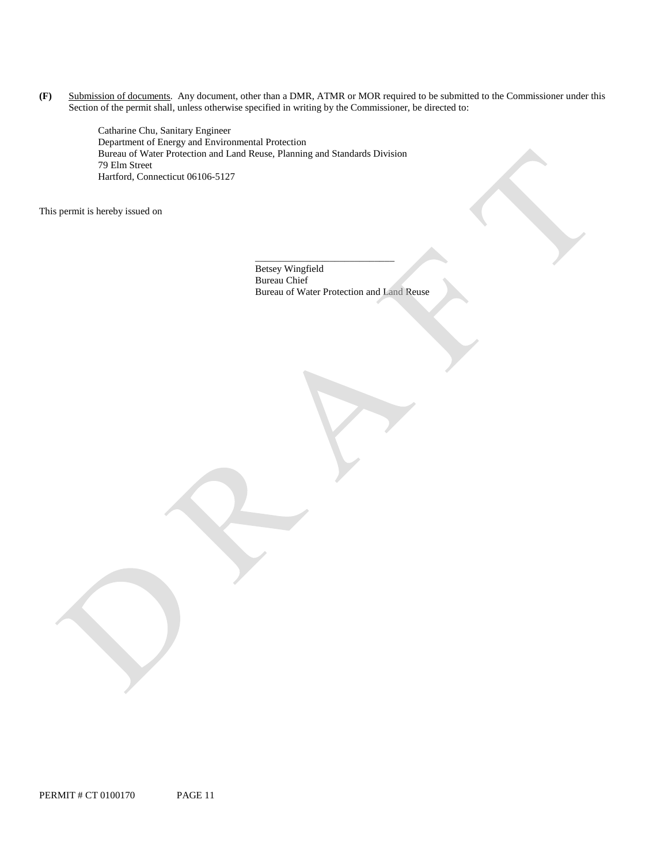**(F)** Submission of documents. Any document, other than a DMR, ATMR or MOR required to be submitted to the Commissioner under this Section of the permit shall, unless otherwise specified in writing by the Commissioner, be directed to:

> Catharine Chu, Sanitary Engineer Department of Energy and Environmental Protection Bureau of Water Protection and Land Reuse, Planning and Standards Division 79 Elm Street Hartford, Connecticut 06106-5127

This permit is hereby issued on

Betsey Wingfield Bureau Chief Bureau of Water Protection and Land Reuse

\_\_\_\_\_\_\_\_\_\_\_\_\_\_\_\_\_\_\_\_\_\_\_\_\_\_\_\_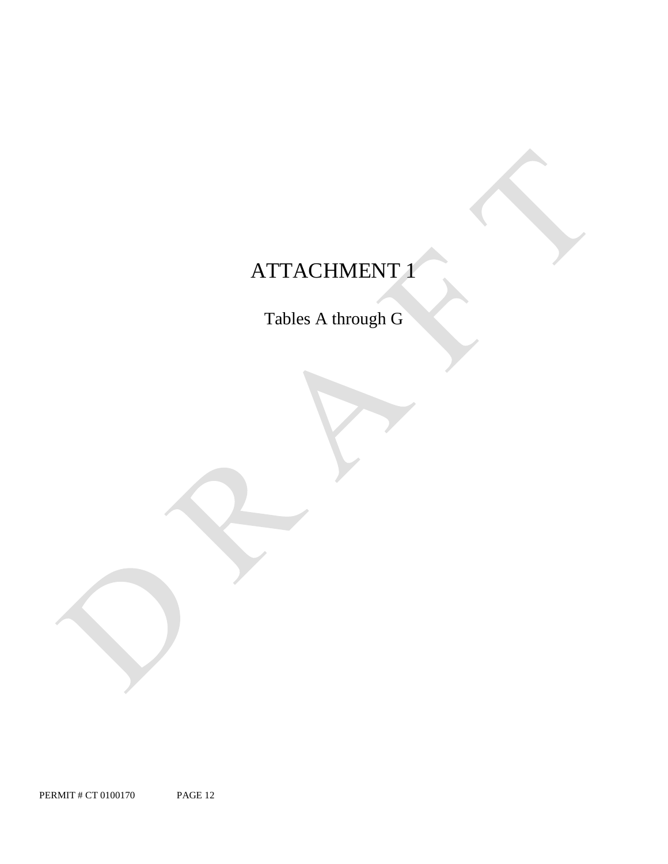# ATTACHMENT 1

Tables A through G

PERMIT # CT 0100170 PAGE 12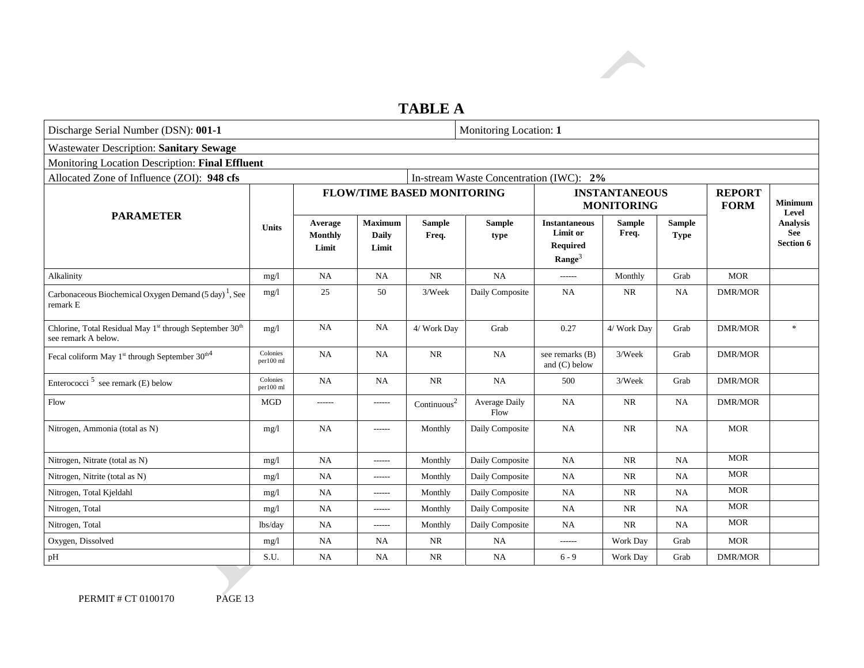# **TABLE A**

| Discharge Serial Number (DSN): 001-1                                                  |                       | Monitoring Location: 1             |                                         |                                   |                       |                                                                           |                                           |                              |                              |                                                   |
|---------------------------------------------------------------------------------------|-----------------------|------------------------------------|-----------------------------------------|-----------------------------------|-----------------------|---------------------------------------------------------------------------|-------------------------------------------|------------------------------|------------------------------|---------------------------------------------------|
| <b>Wastewater Description: Sanitary Sewage</b>                                        |                       |                                    |                                         |                                   |                       |                                                                           |                                           |                              |                              |                                                   |
| Monitoring Location Description: Final Effluent                                       |                       |                                    |                                         |                                   |                       |                                                                           |                                           |                              |                              |                                                   |
| Allocated Zone of Influence (ZOI): 948 cfs<br>In-stream Waste Concentration (IWC): 2% |                       |                                    |                                         |                                   |                       |                                                                           |                                           |                              |                              |                                                   |
|                                                                                       |                       |                                    |                                         | <b>FLOW/TIME BASED MONITORING</b> |                       |                                                                           | <b>INSTANTANEOUS</b><br><b>MONITORING</b> |                              | <b>REPORT</b><br><b>FORM</b> | <b>Minimum</b><br>Level                           |
| <b>PARAMETER</b>                                                                      | <b>Units</b>          | Average<br><b>Monthly</b><br>Limit | <b>Maximum</b><br><b>Daily</b><br>Limit | <b>Sample</b><br>Freq.            | <b>Sample</b><br>type | <b>Instantaneous</b><br>Limit or<br><b>Required</b><br>$\textbf{Range}^3$ | <b>Sample</b><br>Freq.                    | <b>Sample</b><br><b>Type</b> |                              | <b>Analysis</b><br><b>See</b><br><b>Section 6</b> |
| Alkalinity                                                                            | mg/l                  | NA                                 | <b>NA</b>                               | <b>NR</b>                         | <b>NA</b>             | $- - - - - -$                                                             | Monthly                                   | Grab                         | <b>MOR</b>                   |                                                   |
| Carbonaceous Biochemical Oxygen Demand $(5 \text{ day})^1$ , See<br>remark E          | mg/l                  | 25                                 | 50                                      | 3/Week                            | Daily Composite       | NA                                                                        | NR                                        | NA                           | <b>DMR/MOR</b>               |                                                   |
| Chlorine, Total Residual May 1st through September 30th<br>see remark A below.        | mg/l                  | NA                                 | <b>NA</b>                               | 4/ Work Day                       | Grab                  | 0.27                                                                      | 4/ Work Day                               | Grab                         | <b>DMR/MOR</b>               | $\ast$                                            |
| Fecal coliform May 1 <sup>st</sup> through September 30 <sup>th4</sup>                | Colonies<br>per100 ml | NA                                 | <b>NA</b>                               | $\rm NR$                          | NA                    | see remarks (B)<br>and $(C)$ below                                        | 3/Week                                    | Grab                         | <b>DMR/MOR</b>               |                                                   |
| Enterococci <sup>5</sup> see remark (E) below                                         | Colonies<br>per100 ml | NA                                 | <b>NA</b>                               | $\rm NR$                          | NA                    | 500                                                                       | 3/Week                                    | Grab                         | <b>DMR/MOR</b>               |                                                   |
| Flow                                                                                  | MGD                   | ------                             | ------                                  | $\text{Continuous}^2$             | Average Daily<br>Flow | <b>NA</b>                                                                 | <b>NR</b>                                 | NA                           | <b>DMR/MOR</b>               |                                                   |
| Nitrogen, Ammonia (total as N)                                                        | mg/l                  | <b>NA</b>                          | ------                                  | Monthly                           | Daily Composite       | <b>NA</b>                                                                 | NR                                        | <b>NA</b>                    | <b>MOR</b>                   |                                                   |
| Nitrogen, Nitrate (total as N)                                                        | mg/l                  | <b>NA</b>                          | ------                                  | Monthly                           | Daily Composite       | <b>NA</b>                                                                 | <b>NR</b>                                 | NA                           | <b>MOR</b>                   |                                                   |
| Nitrogen, Nitrite (total as N)                                                        | mg/l                  | NA                                 | ------                                  | Monthly                           | Daily Composite       | NA                                                                        | NR                                        | NA                           | <b>MOR</b>                   |                                                   |
| Nitrogen, Total Kjeldahl                                                              | mg/l                  | NA                                 | ------                                  | Monthly                           | Daily Composite       | NA                                                                        | NR                                        | NA                           | <b>MOR</b>                   |                                                   |
| Nitrogen, Total                                                                       | mg/l                  | NA                                 | ------                                  | Monthly                           | Daily Composite       | <b>NA</b>                                                                 | NR                                        | NA                           | <b>MOR</b>                   |                                                   |
| Nitrogen, Total                                                                       | lbs/day               | NA                                 | ------                                  | Monthly                           | Daily Composite       | <b>NA</b>                                                                 | <b>NR</b>                                 | <b>NA</b>                    | <b>MOR</b>                   |                                                   |
| Oxygen, Dissolved                                                                     | mg/l                  | NA                                 | NA                                      | <b>NR</b>                         | <b>NA</b>             | $-----$                                                                   | Work Day                                  | Grab                         | <b>MOR</b>                   |                                                   |
| pH                                                                                    | S.U.                  | <b>NA</b>                          | <b>NA</b>                               | <b>NR</b>                         | NA                    | $6 - 9$                                                                   | Work Day                                  | Grab                         | <b>DMR/MOR</b>               |                                                   |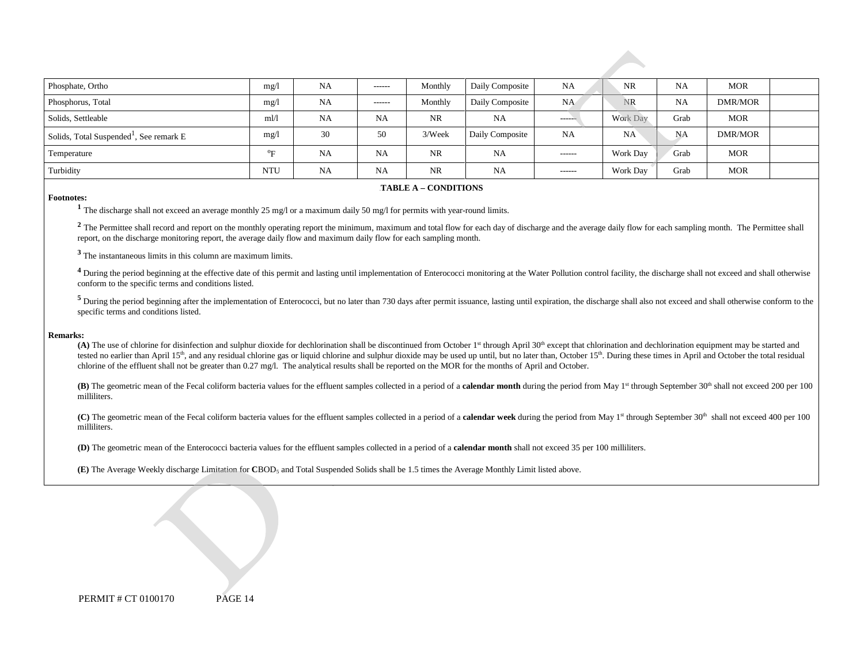| Phosphate, Ortho                                    | mg/l                      | <b>NA</b> | $- - - - - -$ | Monthly   | Daily Composite | <b>NA</b>     | <b>NR</b>       | <b>NA</b> | <b>MOR</b> |  |
|-----------------------------------------------------|---------------------------|-----------|---------------|-----------|-----------------|---------------|-----------------|-----------|------------|--|
| Phosphorus, Total                                   | mg/l                      | <b>NA</b> | $- - - - - -$ | Monthly   | Daily Composite | NA            | <b>NR</b>       | <b>NA</b> | DMR/MOR    |  |
| Solids, Settleable                                  | $m$ l/l                   | <b>NA</b> | <b>NA</b>     | <b>NR</b> | NA              | ------        | <b>Work Day</b> | Grab      | MOR        |  |
| Solids, Total Suspended <sup>1</sup> , See remark E | mg/l                      | 30        | 50            | 3/Week    | Daily Composite | <b>NA</b>     | <b>NA</b>       | NA        | DMR/MOR    |  |
| Temperature                                         | $^{\mathrm{o}}\mathbf{E}$ | <b>NA</b> | <b>NA</b>     | <b>NR</b> | <b>NA</b>       | ------        | <b>Work Day</b> | Grab      | <b>MOR</b> |  |
| Turbidity                                           | <b>NTU</b>                | <b>NA</b> | <b>NA</b>     | NR.       | NA              | $- - - - - -$ | Work Day        | Grab      | <b>MOR</b> |  |

#### 6B**TABLE A – CONDITIONS**

#### **Footnotes:**

**<sup>1</sup>**The discharge shall not exceed an average monthly 25 mg/l or a maximum daily 50 mg/l for permits with year-round limits.

<sup>2</sup> The Permittee shall record and report on the monthly operating report the minimum, maximum and total flow for each day of discharge and the average daily flow for each sampling month. The Permittee shall report, on the discharge monitoring report, the average daily flow and maximum daily flow for each sampling month.

**<sup>3</sup>**The instantaneous limits in this column are maximum limits.

<sup>4</sup> During the period beginning at the effective date of this permit and lasting until implementation of Enterococci monitoring at the Water Pollution control facility, the discharge shall not exceed and shall otherwise conform to the specific terms and conditions listed.

<sup>5</sup> During the period beginning after the implementation of Enterococci, but no later than 730 days after permit issuance, lasting until expiration, the discharge shall also not exceed and shall otherwise conform to the specific terms and conditions listed.

#### **Remarks:**

 chlorine of the effluent shall not be greater than 0.27 mg/l. The analytical results shall be reported on the MOR for the months of April and October. (A) The use of chlorine for disinfection and sulphur dioxide for dechlorination shall be discontinued from October 1<sup>st</sup> through April 30<sup>th</sup> except that chlorination and dechlorination equipment may be started and tested no earlier than April 15<sup>th</sup>, and any residual chlorine gas or liquid chlorine and sulphur dioxide may be used up until, but no later than, October 15<sup>th</sup>. During these times in April and October the total residual

**(B)** The geometric mean of the Fecal coliform bacteria values for the effluent samples collected in a period of a **calendar month** during the period from May 1<sup>st</sup> through September 30<sup>th</sup> shall not exceed 200 per 100 milliliters.

(C) The geometric mean of the Fecal coliform bacteria values for the effluent samples collected in a period of a **calendar week** during the period from May 1<sup>st</sup> through September 30<sup>th</sup> shall not exceed 400 per 100 milliliters.

**(D)** The geometric mean of the Enterococci bacteria values for the effluent samples collected in a period of a **calendar month** shall not exceed 35 per 100 milliliters.

**(E)** The Average Weekly discharge Limitation for **C**BOD5 and Total Suspended Solids shall be 1.5 times the Average Monthly Limit listed above.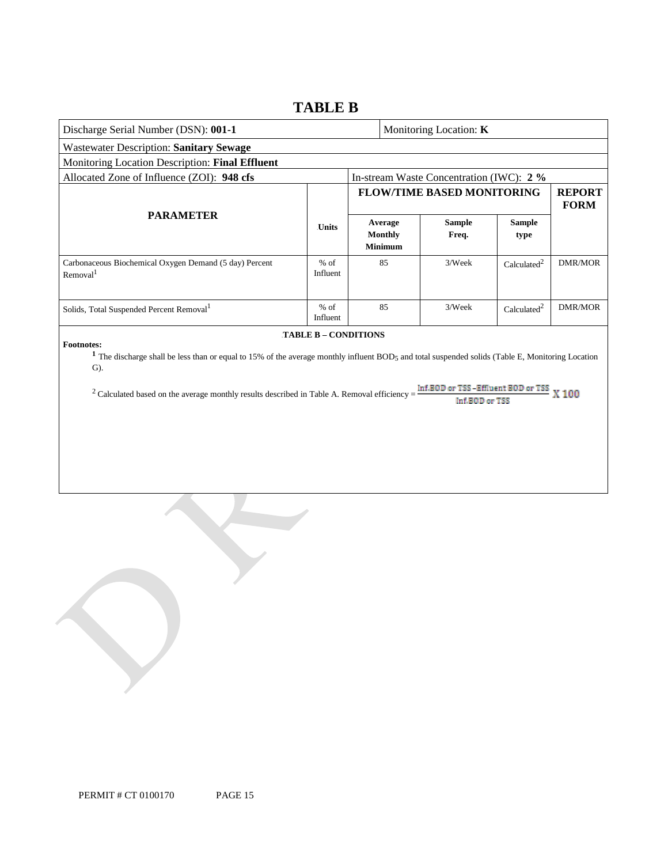# **TABLE B**

| Discharge Serial Number (DSN): 001-1                                                                                                                                                                                                                                                                                                                                               |                    |  |                                             | Monitoring Location: K                   |                         |                              |  |  |
|------------------------------------------------------------------------------------------------------------------------------------------------------------------------------------------------------------------------------------------------------------------------------------------------------------------------------------------------------------------------------------|--------------------|--|---------------------------------------------|------------------------------------------|-------------------------|------------------------------|--|--|
| <b>Wastewater Description: Sanitary Sewage</b>                                                                                                                                                                                                                                                                                                                                     |                    |  |                                             |                                          |                         |                              |  |  |
| Monitoring Location Description: Final Effluent                                                                                                                                                                                                                                                                                                                                    |                    |  |                                             |                                          |                         |                              |  |  |
| Allocated Zone of Influence (ZOI): 948 cfs                                                                                                                                                                                                                                                                                                                                         |                    |  |                                             | In-stream Waste Concentration (IWC): 2 % |                         |                              |  |  |
|                                                                                                                                                                                                                                                                                                                                                                                    |                    |  |                                             | <b>FLOW/TIME BASED MONITORING</b>        |                         | <b>REPORT</b><br><b>FORM</b> |  |  |
| <b>PARAMETER</b>                                                                                                                                                                                                                                                                                                                                                                   | <b>Units</b>       |  | Average<br><b>Monthly</b><br><b>Minimum</b> | <b>Sample</b><br>Freq.                   | <b>Sample</b><br>type   |                              |  |  |
| Carbonaceous Biochemical Oxygen Demand (5 day) Percent<br>Removal <sup>1</sup>                                                                                                                                                                                                                                                                                                     | $%$ of<br>Influent |  | 85                                          | 3/Week                                   | Calculated <sup>2</sup> | <b>DMR/MOR</b>               |  |  |
| Solids, Total Suspended Percent Removal <sup>1</sup>                                                                                                                                                                                                                                                                                                                               | $%$ of<br>Influent |  | 85                                          | 3/Week                                   | $\mbox{Calculated}^2$   | <b>DMR/MOR</b>               |  |  |
| TABLE B - CONDITIONS<br><b>Footnotes:</b><br><sup>1</sup> The discharge shall be less than or equal to 15% of the average monthly influent BOD5 and total suspended solids (Table E, Monitoring Location<br>$G$ ).<br>Inf.BOD or TSS-Effluent BOD or TSS X 100<br>$2$ Calculated based on the average monthly results described in Table A. Removal efficiency =<br>Inf.B0D or TSS |                    |  |                                             |                                          |                         |                              |  |  |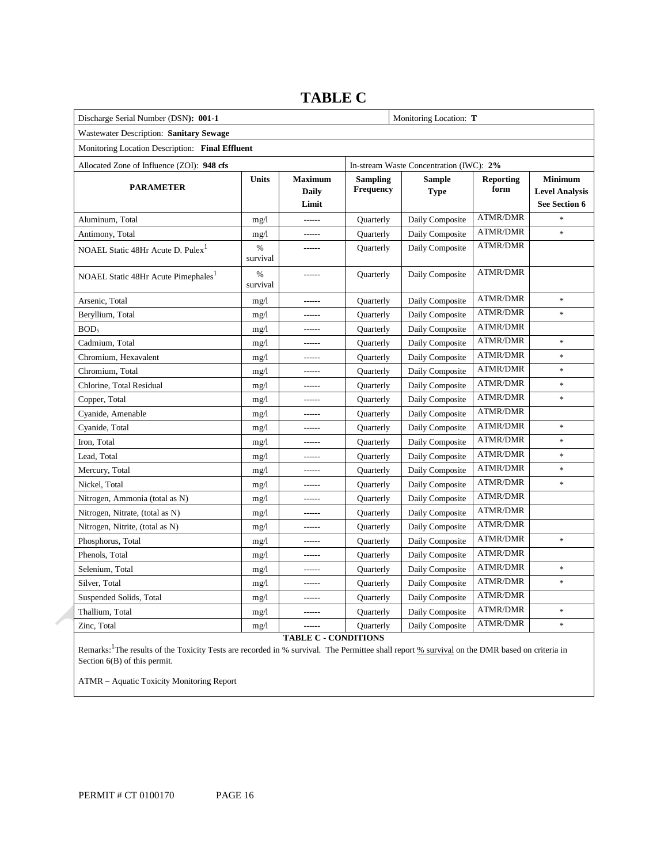| Discharge Serial Number (DSN): 001-1            |                           | Monitoring Location: T                  |                                     |                                         |                          |                                                          |
|-------------------------------------------------|---------------------------|-----------------------------------------|-------------------------------------|-----------------------------------------|--------------------------|----------------------------------------------------------|
| Wastewater Description: Sanitary Sewage         |                           |                                         |                                     |                                         |                          |                                                          |
| Monitoring Location Description: Final Effluent |                           |                                         |                                     |                                         |                          |                                                          |
| Allocated Zone of Influence (ZOI): 948 cfs      |                           |                                         |                                     | In-stream Waste Concentration (IWC): 2% |                          |                                                          |
| <b>PARAMETER</b>                                | <b>Units</b>              | <b>Maximum</b><br><b>Daily</b><br>Limit | <b>Sampling</b><br><b>Frequency</b> | <b>Sample</b><br><b>Type</b>            | <b>Reporting</b><br>form | <b>Minimum</b><br><b>Level Analysis</b><br>See Section 6 |
| Aluminum, Total                                 | mg/1                      |                                         | Quarterly                           | Daily Composite                         | <b>ATMR/DMR</b>          | $\frac{1}{2}$                                            |
| Antimony, Total                                 | mg/1                      | ------                                  | Quarterly                           | Daily Composite                         | <b>ATMR/DMR</b>          | ×                                                        |
| NOAEL Static 48Hr Acute D. Pulex <sup>1</sup>   | %<br>survival             |                                         | Quarterly                           | Daily Composite                         | <b>ATMR/DMR</b>          |                                                          |
| NOAEL Static 48Hr Acute Pimephales <sup>1</sup> | $\frac{0}{0}$<br>survival |                                         | Quarterly                           | Daily Composite                         | <b>ATMR/DMR</b>          |                                                          |
| Arsenic, Total                                  | mg/1                      | ------                                  | Quarterly                           | Daily Composite                         | <b>ATMR/DMR</b>          | $\ast$                                                   |
| Beryllium, Total                                | mg/1                      | ------                                  | Quarterly                           | Daily Composite                         | <b>ATMR/DMR</b>          | $\ast$                                                   |
| BOD <sub>5</sub>                                | mg/1                      | ------                                  | Quarterly                           | Daily Composite                         | <b>ATMR/DMR</b>          |                                                          |
| Cadmium, Total                                  | mg/1                      | ------                                  | Quarterly                           | Daily Composite                         | <b>ATMR/DMR</b>          | $\ast$                                                   |
| Chromium, Hexavalent                            | mg/1                      | ------                                  | Quarterly                           | Daily Composite                         | <b>ATMR/DMR</b>          | $\ast$                                                   |
| Chromium, Total                                 | mg/1                      | ------                                  | Quarterly                           | Daily Composite                         | <b>ATMR/DMR</b>          | $\ast$                                                   |
| Chlorine, Total Residual                        | mg/1                      | ------                                  | Quarterly                           | Daily Composite                         | <b>ATMR/DMR</b>          | $\frac{1}{2}$                                            |
| Copper, Total                                   | mg/1                      | ------                                  | Quarterly                           | Daily Composite                         | <b>ATMR/DMR</b>          | $\ast$                                                   |
| Cyanide, Amenable                               | mg/1                      | ------                                  | Quarterly                           | Daily Composite                         | <b>ATMR/DMR</b>          |                                                          |
| Cyanide, Total                                  | mg/1                      | ------                                  | Quarterly                           | Daily Composite                         | <b>ATMR/DMR</b>          | $\ast$                                                   |
| Iron, Total                                     | mg/1                      | ------                                  | Quarterly                           | Daily Composite                         | <b>ATMR/DMR</b>          | $\ast$                                                   |
| Lead, Total                                     | mg/1                      | ------                                  | Quarterly                           | Daily Composite                         | <b>ATMR/DMR</b>          | $\ast$                                                   |
| Mercury, Total                                  | mg/1                      |                                         | Quarterly                           | Daily Composite                         | <b>ATMR/DMR</b>          | $\ast$                                                   |
| Nickel, Total                                   | mg/1                      | ------                                  | Quarterly                           | Daily Composite                         | <b>ATMR/DMR</b>          | $\ast$                                                   |
| Nitrogen, Ammonia (total as N)                  | mg/1                      |                                         | Quarterly                           | Daily Composite                         | <b>ATMR/DMR</b>          |                                                          |
| Nitrogen, Nitrate, (total as N)                 | mg/1                      | ------                                  | Quarterly                           | Daily Composite                         | <b>ATMR/DMR</b>          |                                                          |
| Nitrogen, Nitrite, (total as N)                 | mg/1                      | ------                                  | Quarterly                           | Daily Composite                         | <b>ATMR/DMR</b>          |                                                          |
| Phosphorus, Total                               | mg/1                      | ------                                  | Quarterly                           | Daily Composite                         | <b>ATMR/DMR</b>          | $\ast$                                                   |
| Phenols, Total                                  | mg/1                      | ------                                  | Quarterly                           | Daily Composite                         | <b>ATMR/DMR</b>          |                                                          |
| Selenium, Total                                 | mg/1                      | ------                                  | Quarterly                           | Daily Composite                         | <b>ATMR/DMR</b>          | $\ast$                                                   |
| Silver, Total                                   | mg/1                      | ------                                  | Quarterly                           | Daily Composite                         | <b>ATMR/DMR</b>          | $\ast$                                                   |
| Suspended Solids, Total                         | mg/1                      | ------                                  | Quarterly                           | Daily Composite                         | <b>ATMR/DMR</b>          |                                                          |
| Thallium, Total                                 | mg/1                      | ------                                  | Quarterly                           | Daily Composite                         | <b>ATMR/DMR</b>          | $\ast$                                                   |
| Zinc, Total                                     | mg/1                      | ------                                  | Quarterly                           | Daily Composite                         | <b>ATMR/DMR</b>          | $\ast$                                                   |

# **TABLE C**

**TABLE C - CONDITIONS** 

Remarks: <sup>1</sup>The results of the Toxicity Tests are recorded in % survival. The Permittee shall report % survival on the DMR based on criteria in Section 6(B) of this permit.

ATMR – Aquatic Toxicity Monitoring Report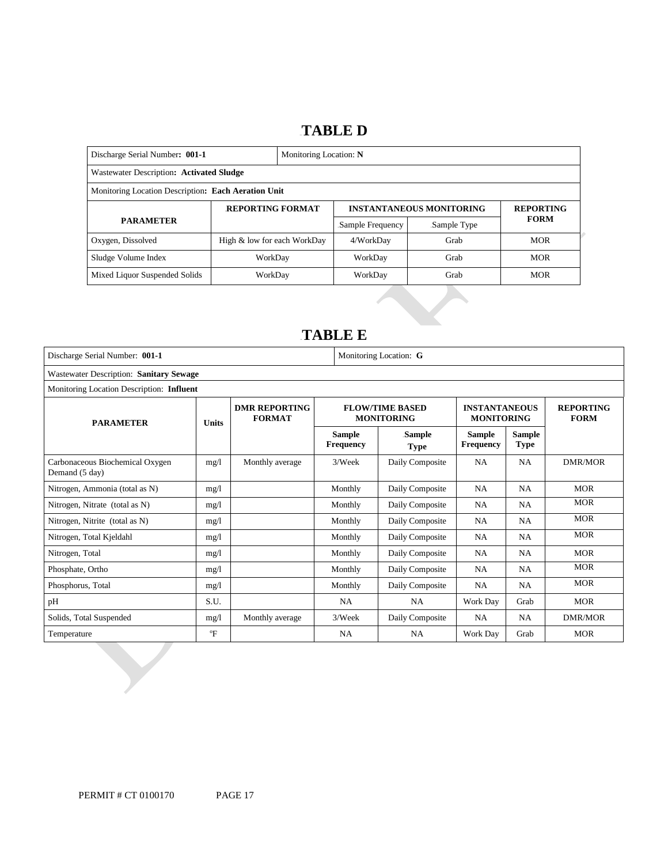# 14B**TABLE D**

| Discharge Serial Number: 001-1                      |                             | Monitoring Location: N |                                 |                  |             |  |  |
|-----------------------------------------------------|-----------------------------|------------------------|---------------------------------|------------------|-------------|--|--|
| Wastewater Description: Activated Sludge            |                             |                        |                                 |                  |             |  |  |
| Monitoring Location Description: Each Aeration Unit |                             |                        |                                 |                  |             |  |  |
|                                                     | <b>REPORTING FORMAT</b>     |                        | <b>INSTANTANEOUS MONITORING</b> | <b>REPORTING</b> |             |  |  |
| <b>PARAMETER</b>                                    |                             |                        | Sample Frequency                | Sample Type      | <b>FORM</b> |  |  |
| Oxygen, Dissolved                                   | High & low for each WorkDay |                        | 4/WorkDav                       | Grab             | <b>MOR</b>  |  |  |
| Sludge Volume Index                                 | WorkDay                     |                        | WorkDay                         | Grab             | <b>MOR</b>  |  |  |
| Mixed Liquor Suspended Solids                       | WorkDay                     |                        | WorkDay                         | Grab             | <b>MOR</b>  |  |  |

# 15B**TABLE E**

| Discharge Serial Number: 001-1                    |                                           | Monitoring Location: G                |                            |                                             |                                           |                              |                                 |  |  |
|---------------------------------------------------|-------------------------------------------|---------------------------------------|----------------------------|---------------------------------------------|-------------------------------------------|------------------------------|---------------------------------|--|--|
| Wastewater Description: Sanitary Sewage           |                                           |                                       |                            |                                             |                                           |                              |                                 |  |  |
|                                                   | Monitoring Location Description: Influent |                                       |                            |                                             |                                           |                              |                                 |  |  |
| <b>PARAMETER</b><br><b>Units</b>                  |                                           | <b>DMR REPORTING</b><br><b>FORMAT</b> |                            | <b>FLOW/TIME BASED</b><br><b>MONITORING</b> | <b>INSTANTANEOUS</b><br><b>MONITORING</b> |                              | <b>REPORTING</b><br><b>FORM</b> |  |  |
|                                                   |                                           |                                       | <b>Sample</b><br>Frequency | Sample<br><b>Type</b>                       | <b>Sample</b><br><b>Frequency</b>         | <b>Sample</b><br><b>Type</b> |                                 |  |  |
| Carbonaceous Biochemical Oxygen<br>Demand (5 day) | mg/1                                      | Monthly average                       | 3/Week                     | Daily Composite                             | NA.                                       | <b>NA</b>                    | DMR/MOR                         |  |  |
| Nitrogen, Ammonia (total as N)                    | mg/1                                      |                                       | Monthly                    | Daily Composite                             | NA.                                       | <b>NA</b>                    | <b>MOR</b>                      |  |  |
| Nitrogen, Nitrate (total as N)                    | mg/1                                      |                                       | Monthly                    | Daily Composite                             | <b>NA</b>                                 | <b>NA</b>                    | <b>MOR</b>                      |  |  |
| Nitrogen, Nitrite (total as N)                    | mg/1                                      |                                       | Monthly                    | Daily Composite                             | <b>NA</b>                                 | <b>NA</b>                    | <b>MOR</b>                      |  |  |
| Nitrogen, Total Kjeldahl                          | mg/1                                      |                                       | Monthly                    | Daily Composite                             | <b>NA</b>                                 | NA                           | <b>MOR</b>                      |  |  |
| Nitrogen, Total                                   | mg/1                                      |                                       | Monthly                    | Daily Composite                             | <b>NA</b>                                 | <b>NA</b>                    | <b>MOR</b>                      |  |  |
| Phosphate, Ortho                                  | mg/1                                      |                                       | Monthly                    | Daily Composite                             | <b>NA</b>                                 | <b>NA</b>                    | <b>MOR</b>                      |  |  |
| Phosphorus, Total                                 | mg/1                                      |                                       | Monthly                    | Daily Composite                             | <b>NA</b>                                 | <b>NA</b>                    | <b>MOR</b>                      |  |  |
| pH                                                | S.U.                                      |                                       | <b>NA</b>                  | <b>NA</b>                                   | Work Day                                  | Grab                         | <b>MOR</b>                      |  |  |
| Solids, Total Suspended                           | mg/1                                      | Monthly average                       | 3/Week                     | Daily Composite                             | NA.                                       | <b>NA</b>                    | <b>DMR/MOR</b>                  |  |  |
| Temperature                                       | $\mathrm{P}$                              |                                       | <b>NA</b>                  | NA.                                         | Work Day                                  | Grab                         | <b>MOR</b>                      |  |  |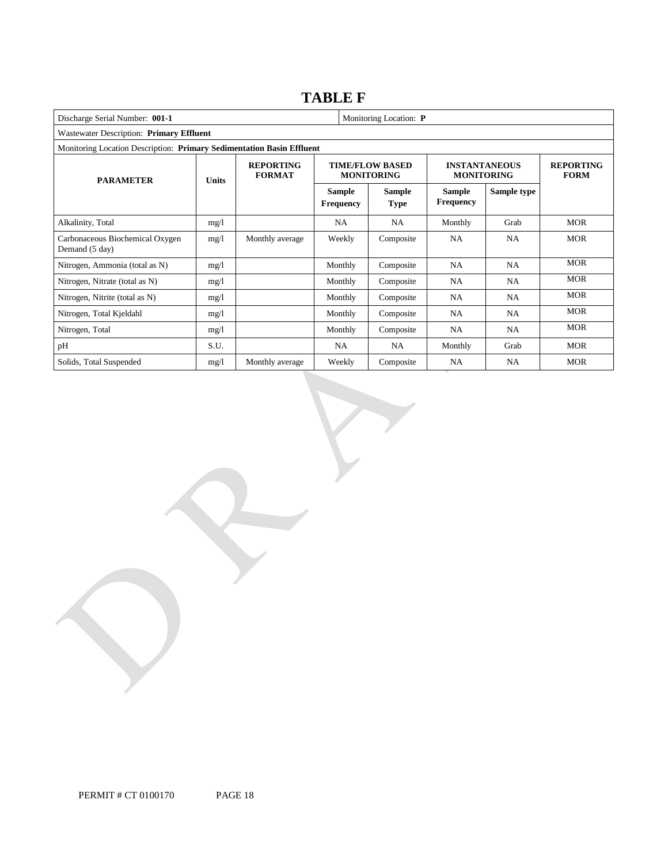# **TABLE F**

| Discharge Serial Number: 001-1<br>Monitoring Location: P              |       |                                   |                                   |                                             |                                           |                                 |            |  |
|-----------------------------------------------------------------------|-------|-----------------------------------|-----------------------------------|---------------------------------------------|-------------------------------------------|---------------------------------|------------|--|
| Wastewater Description: Primary Effluent                              |       |                                   |                                   |                                             |                                           |                                 |            |  |
| Monitoring Location Description: Primary Sedimentation Basin Effluent |       |                                   |                                   |                                             |                                           |                                 |            |  |
| <b>PARAMETER</b>                                                      | Units | <b>REPORTING</b><br><b>FORMAT</b> |                                   | <b>TIME/FLOW BASED</b><br><b>MONITORING</b> | <b>INSTANTANEOUS</b><br><b>MONITORING</b> | <b>REPORTING</b><br><b>FORM</b> |            |  |
|                                                                       |       |                                   | <b>Sample</b><br><b>Frequency</b> | <b>Sample</b><br><b>Type</b>                | <b>Sample</b><br><b>Frequency</b>         | Sample type                     |            |  |
| Alkalinity, Total                                                     | mg/1  |                                   | NA                                | NA                                          | Monthly                                   | Grab                            | <b>MOR</b> |  |
| Carbonaceous Biochemical Oxygen<br>Demand (5 day)                     | mg/1  | Monthly average                   | Weekly                            | Composite                                   | NA                                        | NA                              | <b>MOR</b> |  |
| Nitrogen, Ammonia (total as N)                                        | mg/1  |                                   | Monthly                           | Composite                                   | <b>NA</b>                                 | NA                              | <b>MOR</b> |  |
| Nitrogen, Nitrate (total as N)                                        | mg/1  |                                   | Monthly                           | Composite                                   | <b>NA</b>                                 | NA                              | <b>MOR</b> |  |
| Nitrogen, Nitrite (total as N)                                        | mg/1  |                                   | Monthly                           | Composite                                   | <b>NA</b>                                 | NA                              | <b>MOR</b> |  |
| Nitrogen, Total Kjeldahl                                              | mg/1  |                                   | Monthly                           | Composite                                   | <b>NA</b>                                 | <b>NA</b>                       | <b>MOR</b> |  |
| Nitrogen, Total                                                       | mg/1  |                                   | Monthly                           | Composite                                   | <b>NA</b>                                 | NA                              | <b>MOR</b> |  |
| pH                                                                    | S.U.  |                                   | <b>NA</b>                         | NA                                          | Monthly                                   | Grab                            | <b>MOR</b> |  |
| Solids, Total Suspended                                               | mg/1  | Monthly average                   | Weekly                            | Composite                                   | <b>NA</b>                                 | <b>NA</b>                       | <b>MOR</b> |  |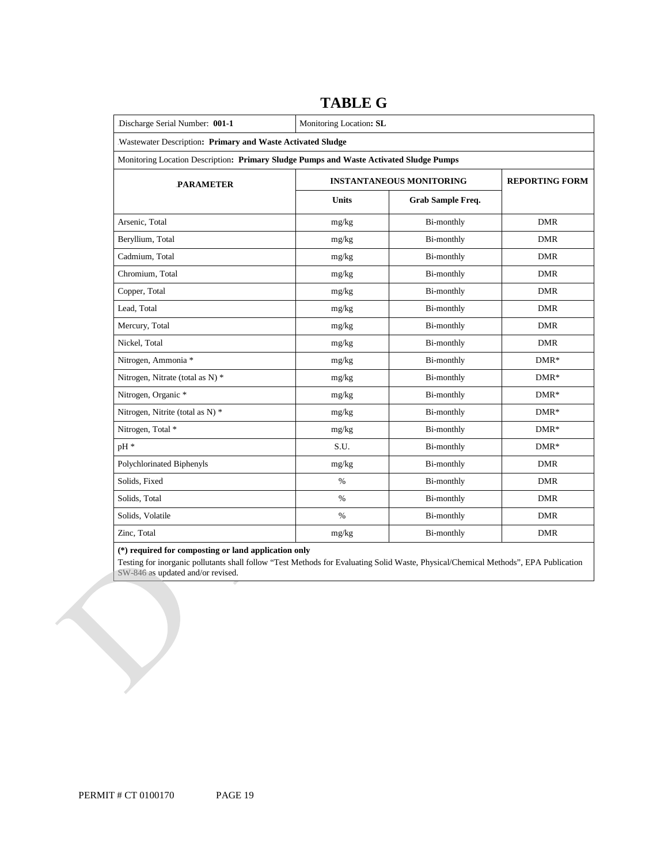| Discharge Serial Number: 001-1                                                         | Monitoring Location: SL |                                 |            |  |  |  |  |
|----------------------------------------------------------------------------------------|-------------------------|---------------------------------|------------|--|--|--|--|
| Wastewater Description: Primary and Waste Activated Sludge                             |                         |                                 |            |  |  |  |  |
| Monitoring Location Description: Primary Sludge Pumps and Waste Activated Sludge Pumps |                         |                                 |            |  |  |  |  |
| <b>PARAMETER</b>                                                                       |                         | <b>INSTANTANEOUS MONITORING</b> |            |  |  |  |  |
|                                                                                        | <b>Units</b>            | Grab Sample Freq.               |            |  |  |  |  |
| Arsenic, Total                                                                         | mg/kg                   | Bi-monthly                      | <b>DMR</b> |  |  |  |  |
| Beryllium, Total                                                                       | mg/kg                   | Bi-monthly                      | <b>DMR</b> |  |  |  |  |
| Cadmium, Total                                                                         | mg/kg                   | Bi-monthly                      | <b>DMR</b> |  |  |  |  |
| Chromium, Total                                                                        | mg/kg                   | Bi-monthly                      | <b>DMR</b> |  |  |  |  |
| Copper, Total                                                                          | mg/kg                   | Bi-monthly                      | <b>DMR</b> |  |  |  |  |
| Lead, Total                                                                            | mg/kg                   | Bi-monthly                      | <b>DMR</b> |  |  |  |  |
| Mercury, Total                                                                         | mg/kg                   | Bi-monthly                      | <b>DMR</b> |  |  |  |  |
| Nickel, Total                                                                          | mg/kg                   | Bi-monthly                      | <b>DMR</b> |  |  |  |  |
| Nitrogen, Ammonia *                                                                    | mg/kg                   | Bi-monthly                      | $DMR*$     |  |  |  |  |
| Nitrogen, Nitrate (total as N) *                                                       | mg/kg                   | Bi-monthly                      | $DMR*$     |  |  |  |  |
| Nitrogen, Organic *                                                                    | mg/kg                   | Bi-monthly                      | $DMR*$     |  |  |  |  |
| Nitrogen, Nitrite (total as N) *                                                       | mg/kg                   | Bi-monthly                      | $DMR*$     |  |  |  |  |
| Nitrogen, Total *                                                                      | mg/kg                   | Bi-monthly                      | $DMR*$     |  |  |  |  |
| pH *                                                                                   | S.U.                    | Bi-monthly                      | $DMR*$     |  |  |  |  |
| Polychlorinated Biphenyls                                                              | mg/kg                   | Bi-monthly                      | <b>DMR</b> |  |  |  |  |
| Solids, Fixed                                                                          | $\%$                    | Bi-monthly                      | <b>DMR</b> |  |  |  |  |
| Solids, Total                                                                          | $\%$                    | Bi-monthly                      | <b>DMR</b> |  |  |  |  |
| Solids, Volatile                                                                       | $\%$                    | Bi-monthly                      | <b>DMR</b> |  |  |  |  |
| Zinc, Total                                                                            | mg/kg                   | Bi-monthly                      | <b>DMR</b> |  |  |  |  |

# **TABLE G**

**(\*) required for composting or land application only** 

Testing for inorganic pollutants shall follow "Test Methods for Evaluating Solid Waste, Physical/Chemical Methods", EPA Publication SW-846 as updated and/or revised.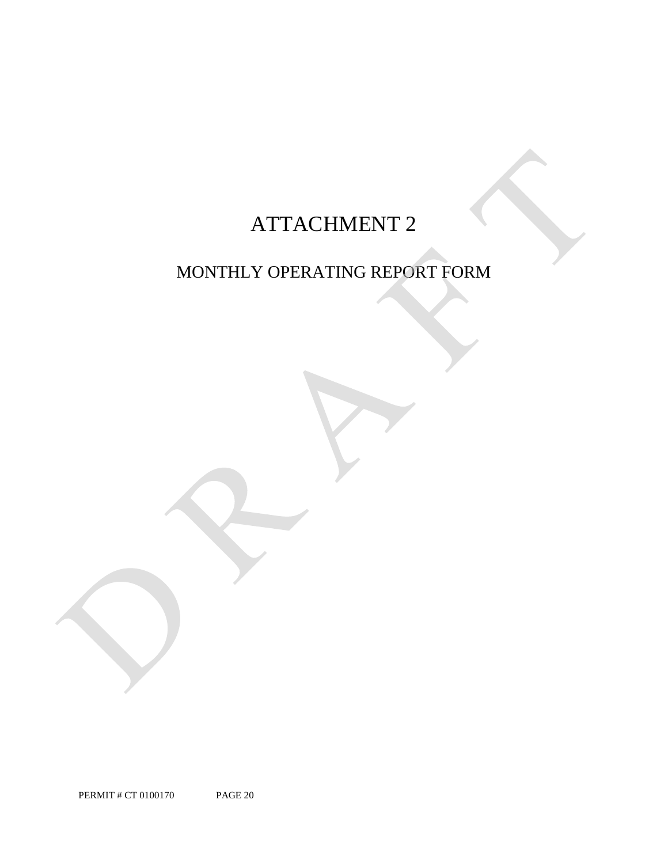# ATTACHMENT 2

# MONTHLY OPERATING REPORT FORM

PERMIT # CT 0100170 PAGE 20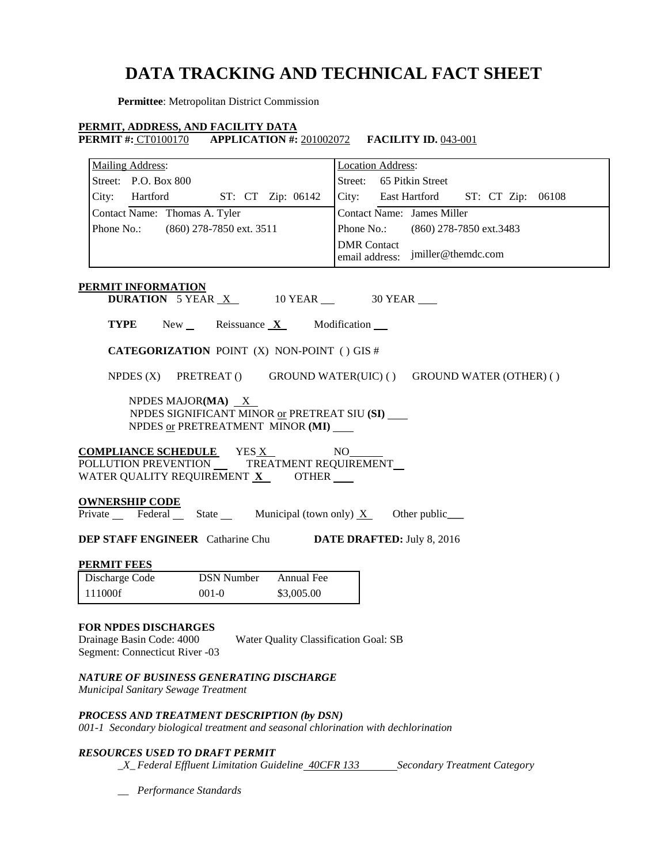# **DATA TRACKING AND TECHNICAL FACT SHEET**

**Permittee**: Metropolitan District Commission

# **PERMIT, ADDRESS, AND FACILITY DATA**

**PERMIT #: CT0100170 APPLICATION #: 201002072 <b>FACILITY ID.** 043-001

| <b>Mailing Address:</b>                                                               | <b>Location Address:</b>                                   |
|---------------------------------------------------------------------------------------|------------------------------------------------------------|
| Street: P.O. Box 800                                                                  | Street: 65 Pitkin Street                                   |
| City:<br>Hartford<br>ST: CT Zip: 06142                                                | City:<br>East Hartford<br>ST: CT Zip: 06108                |
| Contact Name: Thomas A. Tyler                                                         | <b>Contact Name:</b> James Miller                          |
| Phone No.:<br>(860) 278-7850 ext. 3511                                                | Phone No.:<br>(860) 278-7850 ext.3483                      |
|                                                                                       | <b>DMR</b> Contact<br>jmiller@themdc.com<br>email address: |
| <b>PERMIT INFORMATION</b>                                                             |                                                            |
| <b>DURATION</b> 5 YEAR $X$ 10 YEAR $\_\_\_\$ 30 YEAR                                  |                                                            |
| <b>TYPE</b><br>New<br>Reissuance $X$                                                  | Modification __                                            |
|                                                                                       |                                                            |
| <b>CATEGORIZATION POINT (X) NON-POINT () GIS #</b>                                    |                                                            |
| NPDES $(X)$<br>PRETREAT ()                                                            | GROUND WATER(UIC) () GROUND WATER (OTHER) ()               |
|                                                                                       |                                                            |
| NPDES MAJOR(MA) X<br>NPDES SIGNIFICANT MINOR or PRETREAT SIU (SI)                     |                                                            |
| NPDES or PRETREATMENT MINOR (MI)                                                      |                                                            |
|                                                                                       |                                                            |
| <b>COMPLIANCE SCHEDULE</b> YES X<br>POLLUTION PREVENTION __<br>TREATMENT REQUIREMENT  | NO                                                         |
| WATER QUALITY REQUIREMENT X OTHER ___                                                 |                                                            |
|                                                                                       |                                                            |
| <u>OWNERSHIP CODE</u><br>Private Federal State Municipal (town only) $X$ Other public |                                                            |
|                                                                                       |                                                            |
| <b>DEP STAFF ENGINEER</b> Catharine Chu <b>DATE DRAFTED:</b> July 8, 2016             |                                                            |
| PERMIT FEES                                                                           |                                                            |
| <b>DSN Number</b><br>Annual Fee<br>Discharge Code                                     |                                                            |
| 111000f<br>$001 - 0$<br>\$3,005.00                                                    |                                                            |
|                                                                                       |                                                            |
| FOR NPDES DISCHARGES                                                                  |                                                            |
| Drainage Basin Code: 4000<br>Water Quality Classification Goal: SB                    |                                                            |
| Segment: Connecticut River -03                                                        |                                                            |

*NATURE OF BUSINESS GENERATING DISCHARGE* 

*Municipal Sanitary Sewage Treatment* 

*PROCESS AND TREATMENT DESCRIPTION (by DSN)* 

 *001-1 Secondary biological treatment and seasonal chlorination with dechlorination* 

# *RESOURCES USED TO DRAFT PERMIT*

*\_X\_Federal Effluent Limitation Guideline <del>40CFR 133</del> Secondary Treatment Category* 

*\_\_ Performance Standards*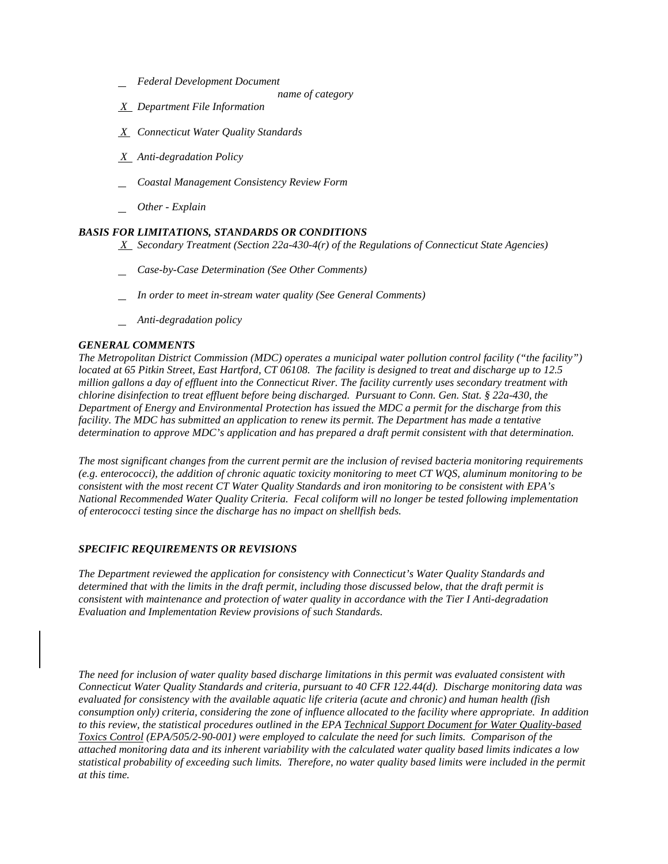- *Federal Development Document*
	- *name of category*
- *X Department File Information*
- *X Connecticut Water Quality Standards*
- *X Anti-degradation Policy*
- *Coastal Management Consistency Review Form*
- *Other - Explain*

#### *BASIS FOR LIMITATIONS, STANDARDS OR CONDITIONS*

- *X Secondary Treatment (Section 22a-430-4(r) of the Regulations of Connecticut State Agencies)*
- *Case-by-Case Determination (See Other Comments)*
- *In order to meet in-stream water quality (See General Comments)*
- *Anti-degradation policy*

## *GENERAL COMMENTS*

 *located at 65 Pitkin Street, East Hartford, CT 06108. The facility is designed to treat and discharge up to 12.5*  determination to approve MDC's application and has prepared a draft permit consistent with that determination. *The Metropolitan District Commission (MDC) operates a municipal water pollution control facility ("the facility") million gallons a day of effluent into the Connecticut River. The facility currently uses secondary treatment with chlorine disinfection to treat effluent before being discharged. Pursuant to Conn. Gen. Stat. § 22a-430, the Department of Energy and Environmental Protection has issued the MDC a permit for the discharge from this facility. The MDC has submitted an application to renew its permit. The Department has made a tentative* 

 *National Recommended Water Quality Criteria. Fecal coliform will no longer be tested following implementation*  The most significant changes from the current permit are the inclusion of revised bacteria monitoring requirements *(e.g. enterococci), the addition of chronic aquatic toxicity monitoring to meet CT WQS, aluminum monitoring to be consistent with the most recent CT Water Quality Standards and iron monitoring to be consistent with EPA's of enterococci testing since the discharge has no impact on shellfish beds.* 

#### *SPECIFIC REQUIREMENTS OR REVISIONS*

*The Department reviewed the application for consistency with Connecticut's Water Quality Standards and determined that with the limits in the draft permit, including those discussed below, that the draft permit is consistent with maintenance and protection of water quality in accordance with the Tier I Anti-degradation Evaluation and Implementation Review provisions of such Standards.* 

 *Connecticut Water Quality Standards and criteria, pursuant to 40 CFR 122.44(d). Discharge monitoring data was consumption only) criteria, considering the zone of influence allocated to the facility where appropriate. In addition to this review, the statistical procedures outlined in the EPA Technical Support Document for Water Quality-based The need for inclusion of water quality based discharge limitations in this permit was evaluated consistent with evaluated for consistency with the available aquatic life criteria (acute and chronic) and human health (fish Toxics Control (EPA/505/2-90-001) were employed to calculate the need for such limits. Comparison of the attached monitoring data and its inherent variability with the calculated water quality based limits indicates a low statistical probability of exceeding such limits. Therefore, no water quality based limits were included in the permit at this time.*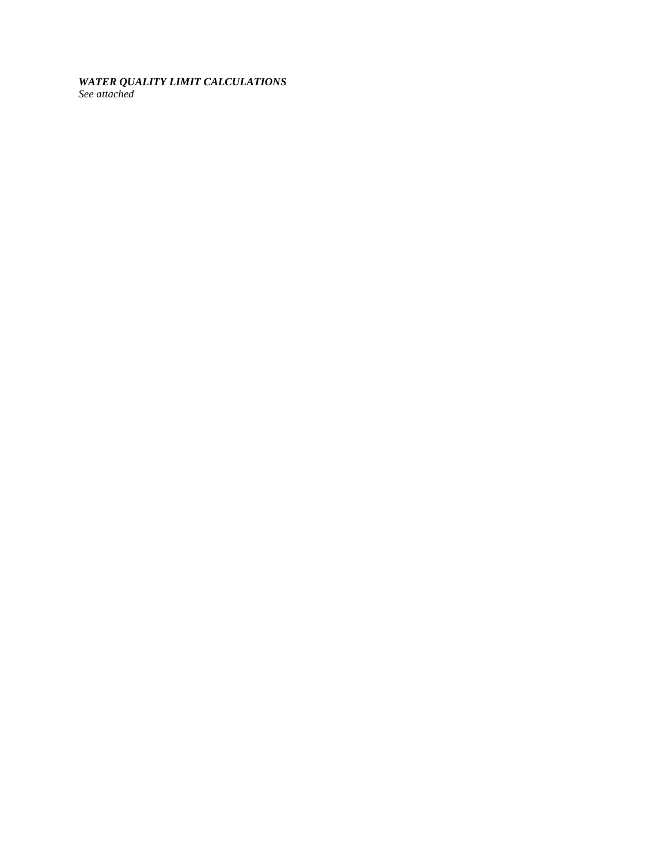# *WATER QUALITY LIMIT CALCULATIONS*

*See attached*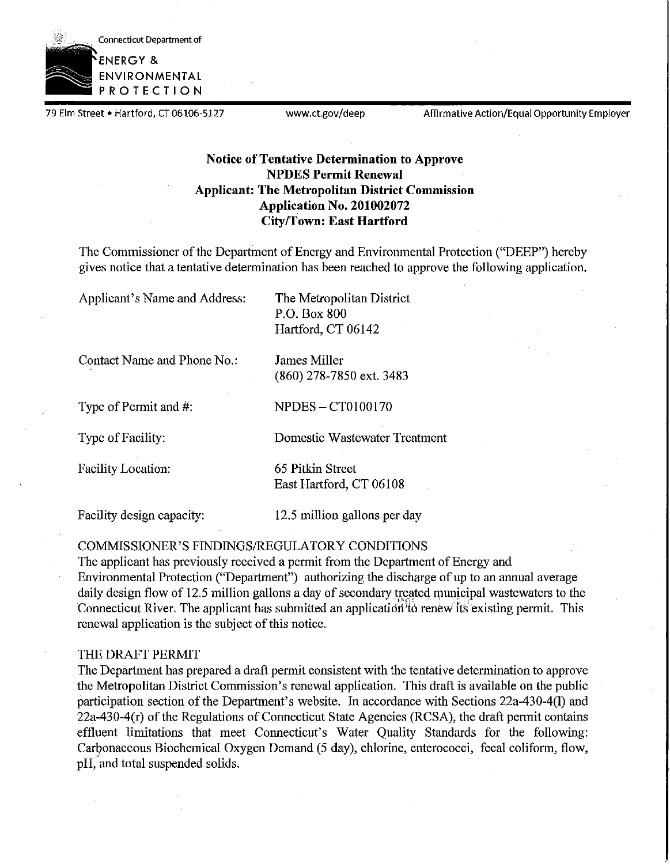

79 Elm Street • Hartford, CT 06106-5127 www.ct.gov/deep Affirmative Action/Equal Opportunity Employer

# **Notice of Tentative Determination to Approve NPDES Permit Renewal Applicant: The Metropolitan District Commission Application No. 201002072 City/Town: East Hartford**

The Commissioner of the Department of Energy and Environmental Protection ("DEEP") hereby gives notice that a tentative determination has been reached to approve the following application.

Applicant's Name and Address: The Metropolitan District P.O. Box 800 Hartford, CT 06142

Contact Name and Phone No.: James Miller

Type of Permit and #: NPDES - CT0100170

(860) 278-7850 ext. 3483

Type of Facility: Domestic Wastewater Treatment

Facility Location: 65 Pitkin Street

East Hartford, CT 06108

Facility design capacity: 12.5 million gallons per day

COMMISSIONER'S FINDINGS/REGULATORY CONDITIONS

The applicant has previously received a permit from the Department of Energy and Environmental Protection ("Department") authorizing the discharge of up to an annual average daily design flow of 12.5 million gallons a day of secondary treated municipal wastewaters to the Connecticut River. The applicant has submitted an application to renew its existing permit. This renewal application is the subject of this notice.

# THE DRAFT PERMIT

The Department has prepared a draft permit consistent with the tentative determination to approve the Metropolitan District Commission's renewal application. This draft is available on the public participation section of the Department's website. In accordance with Sections 22a-430-4(1) and  $22a-430-4(r)$  of the Regulations of Connecticut State Agencies (RCSA), the draft permit contains effluent limitations that meet Connecticut's Water Quality Standards for the following: Carbonaceous Biochemical Oxygen Demand (5 day), chlorine, enterococci, fecal coliform, flow, pH, and total suspended solids.